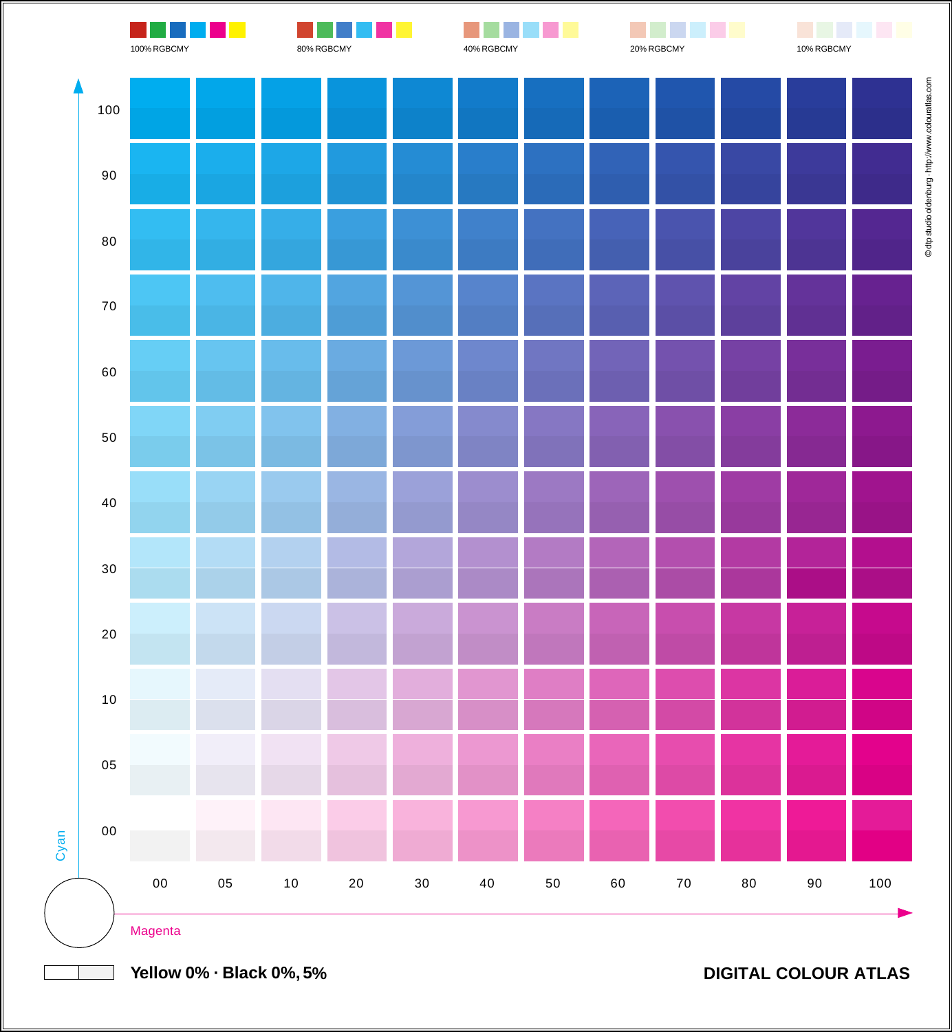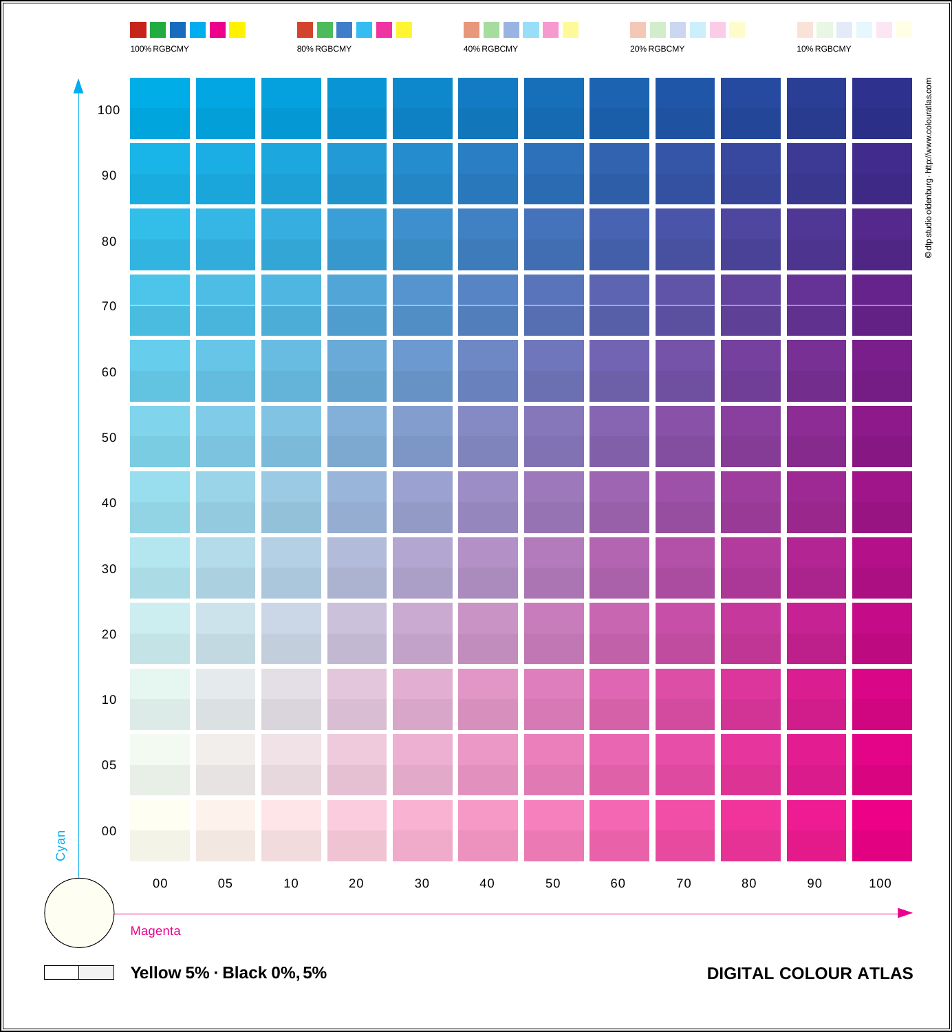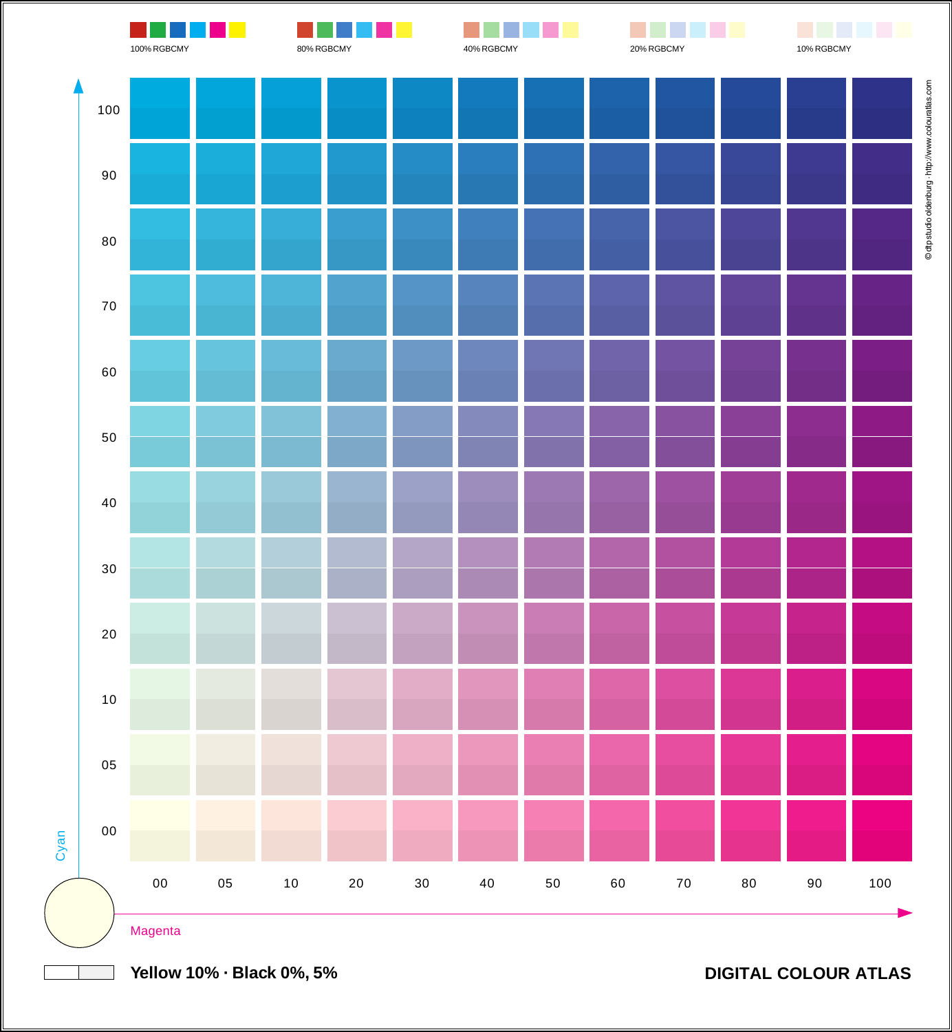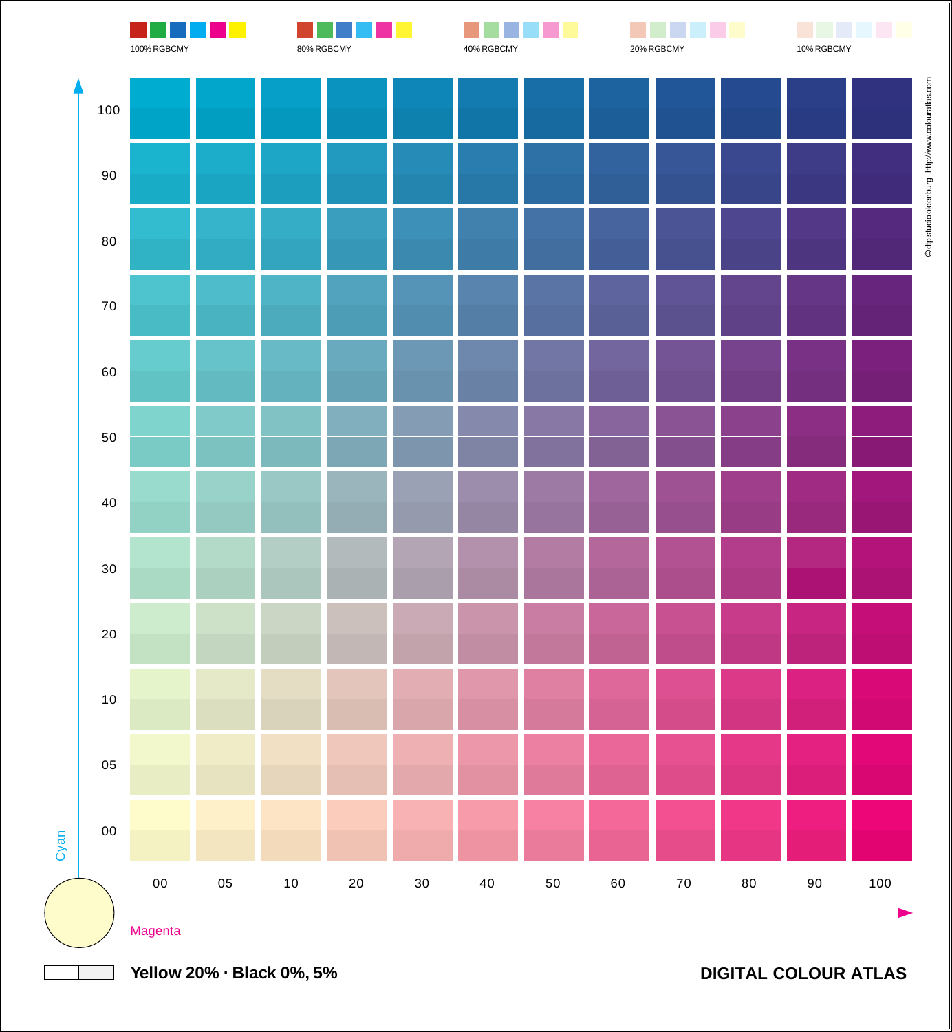

**Yellow 20% · Black 0%, 5%**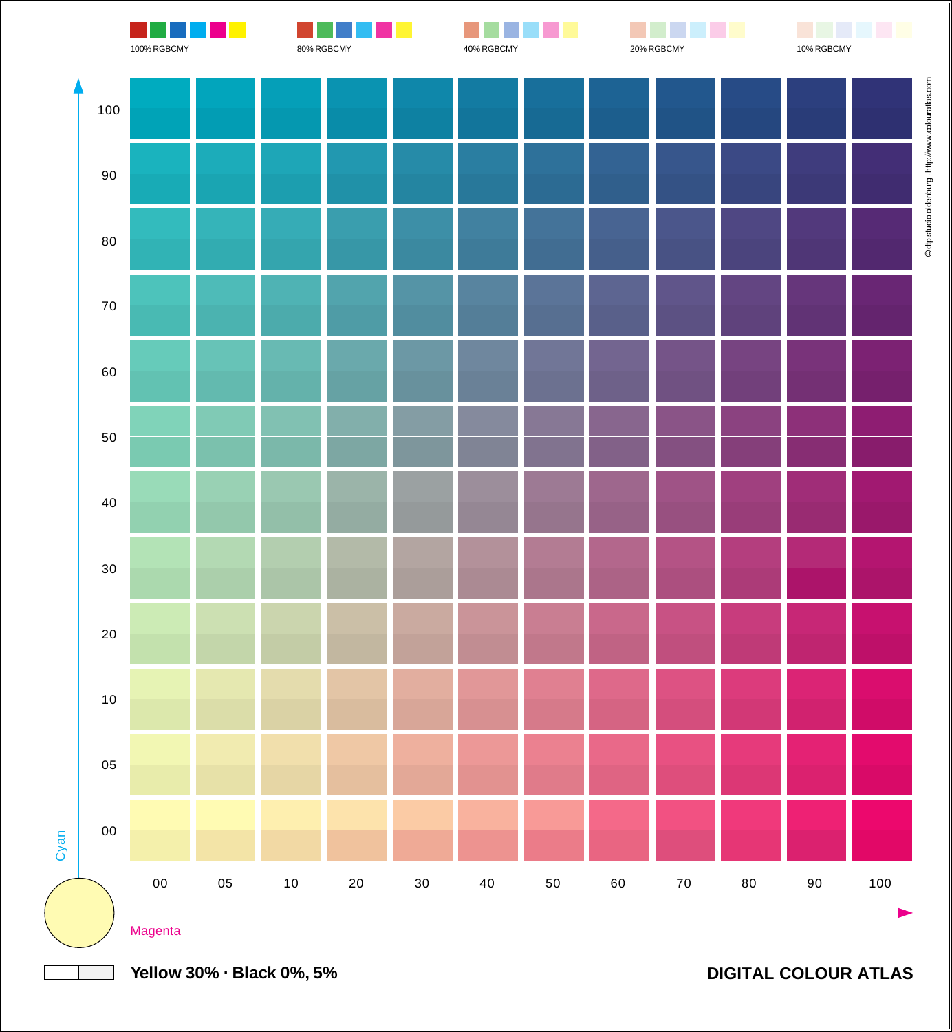

**Yellow 30% · Black 0%, 5%**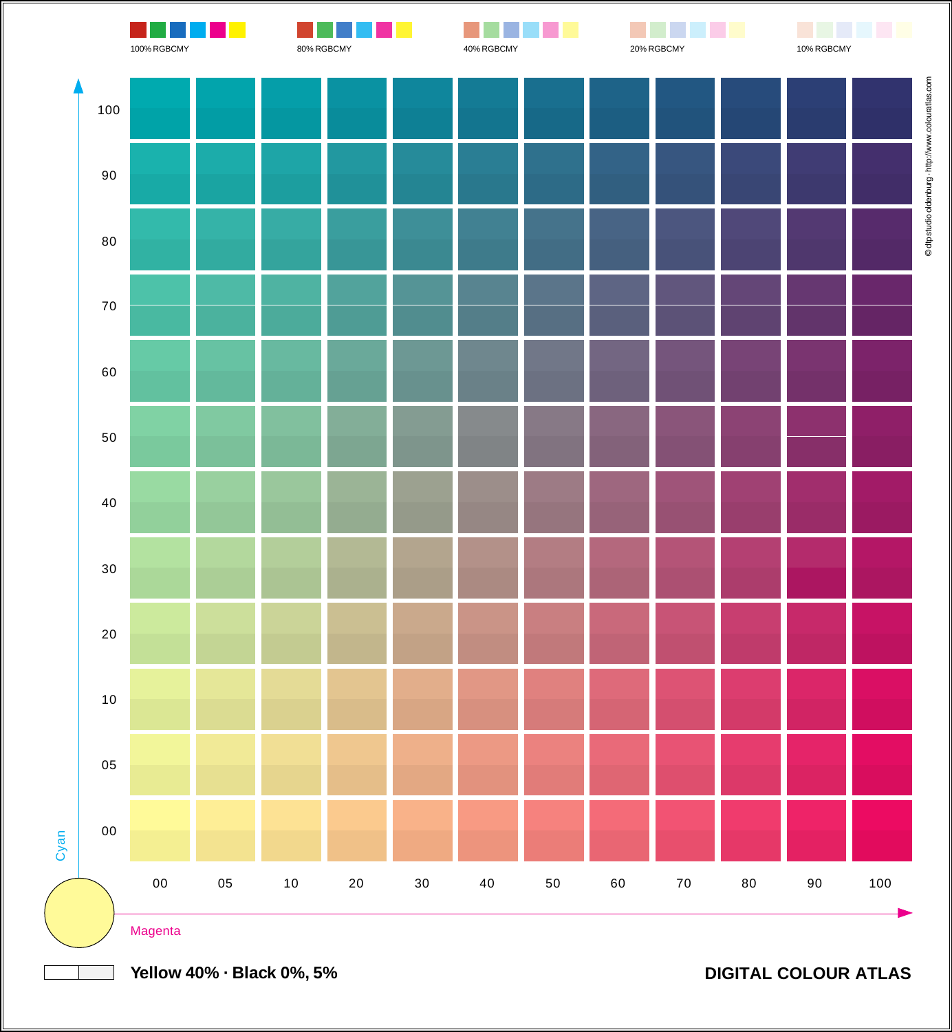

**Yellow 40% · Black 0%, 5%**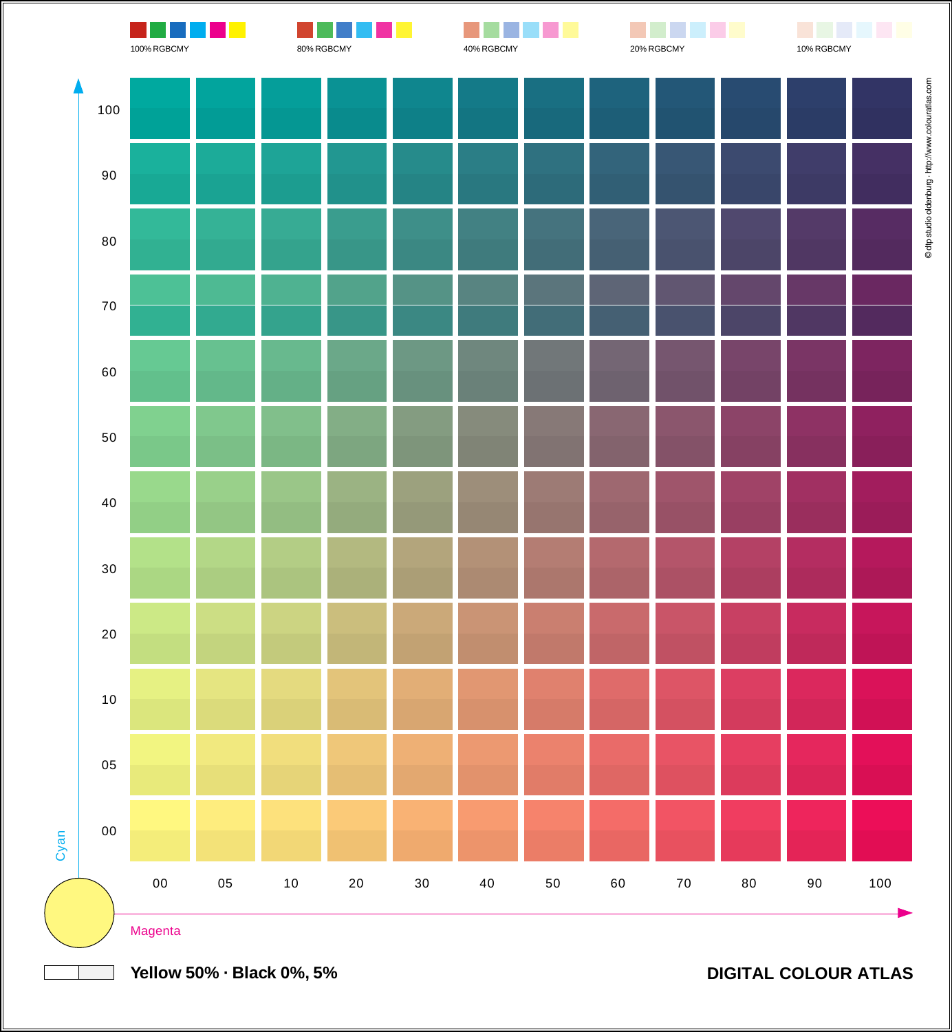

**Yellow 50% · Black 0%, 5%**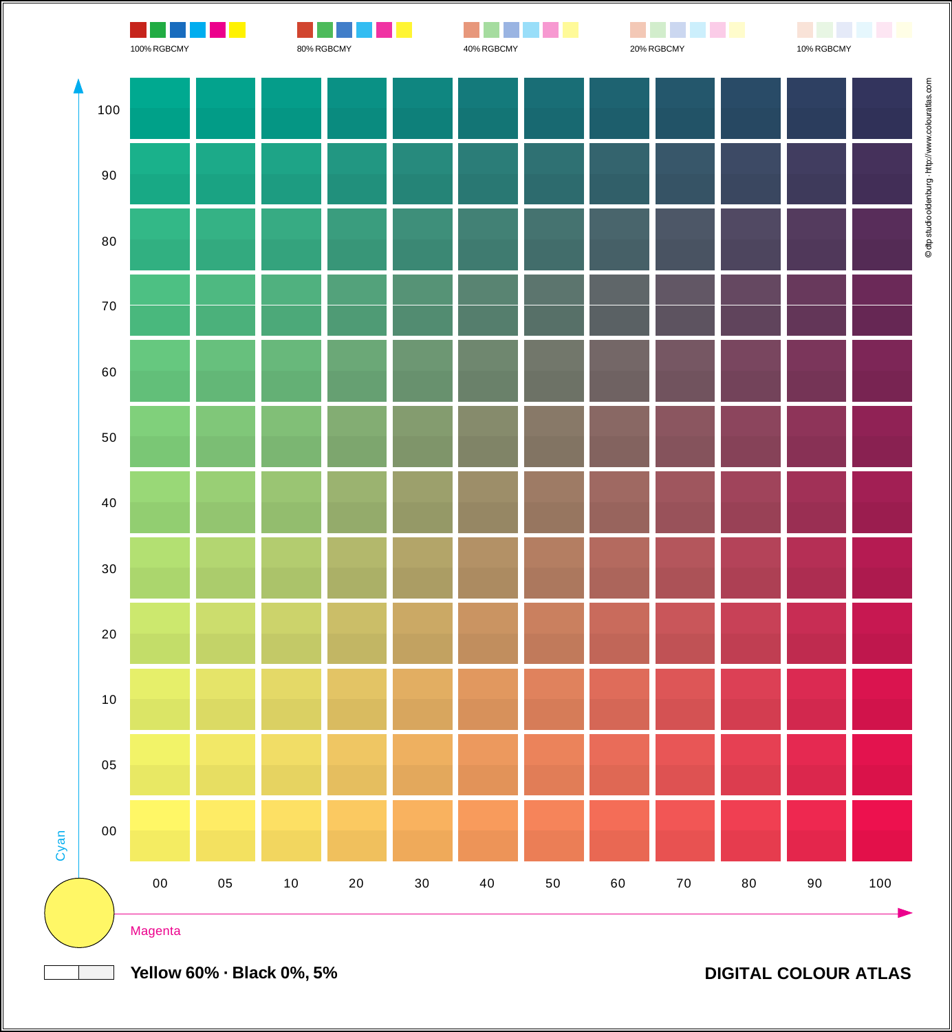

**Yellow 60% · Black 0%, 5%**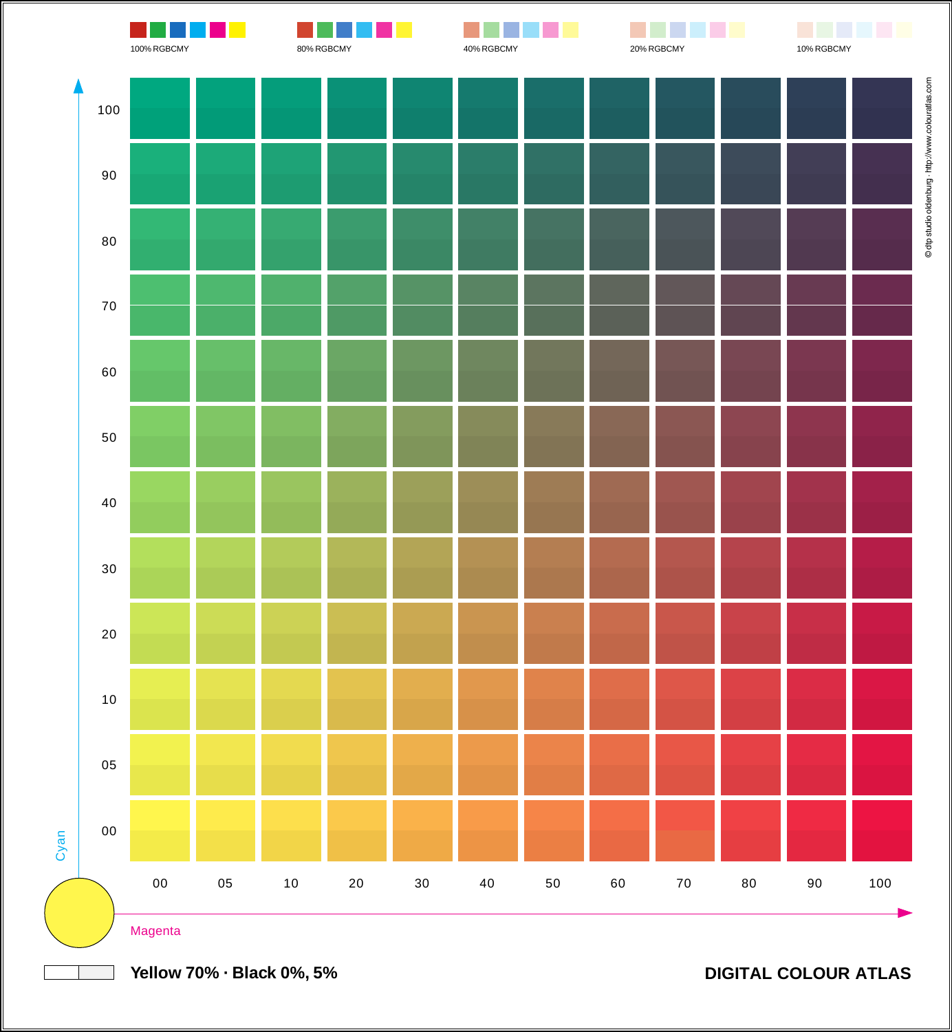

**Yellow 70% · Black 0%, 5%**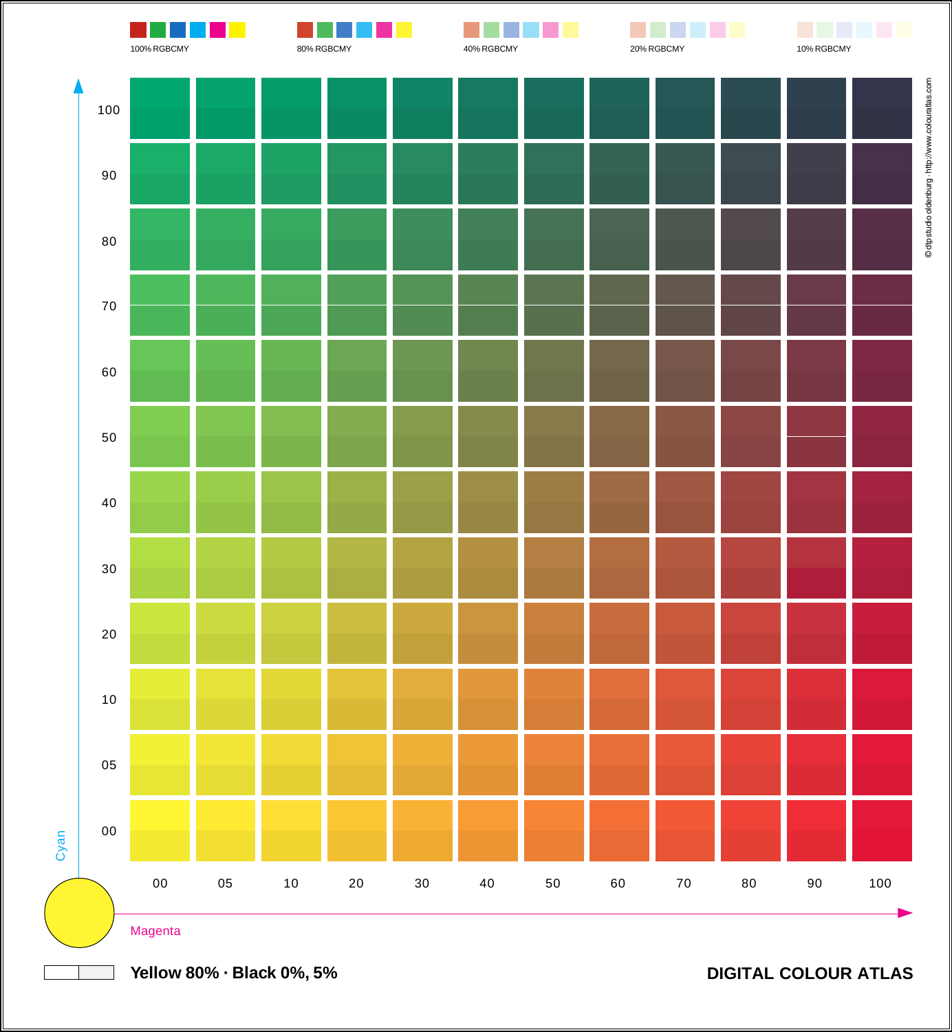

**Yellow 80% · Black 0%, 5%**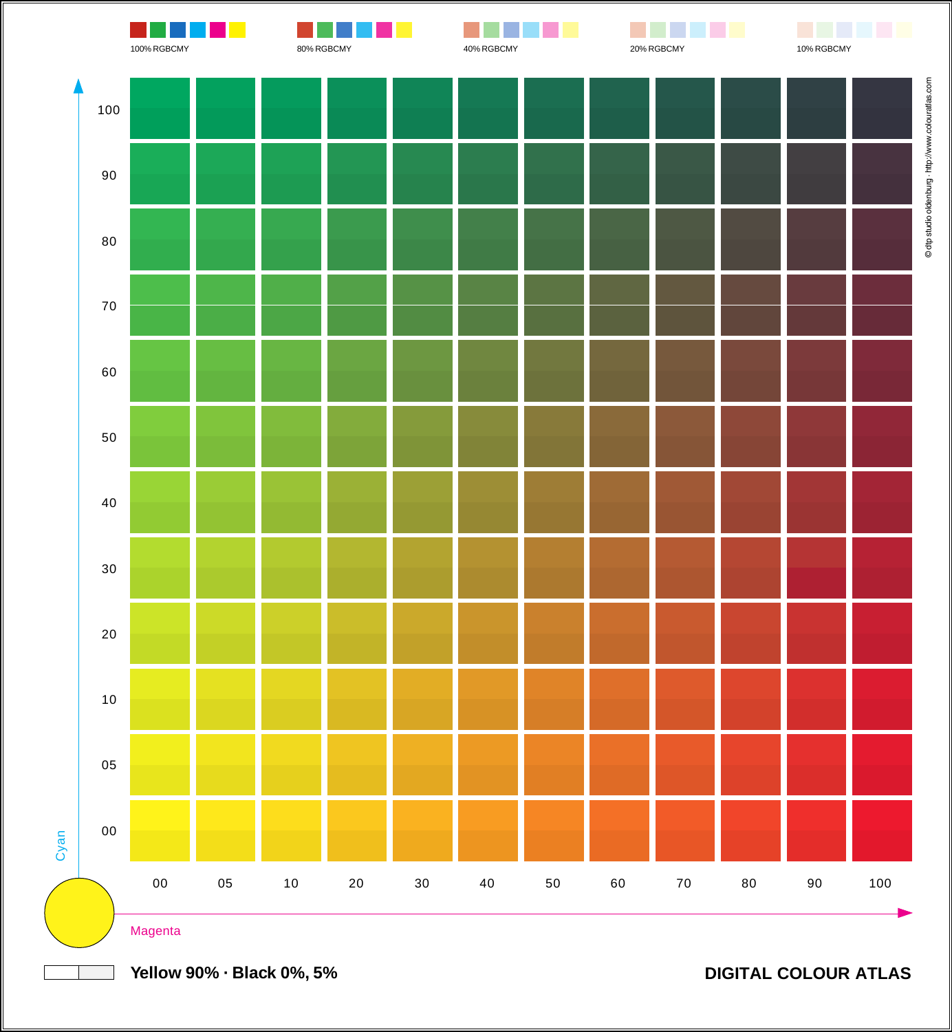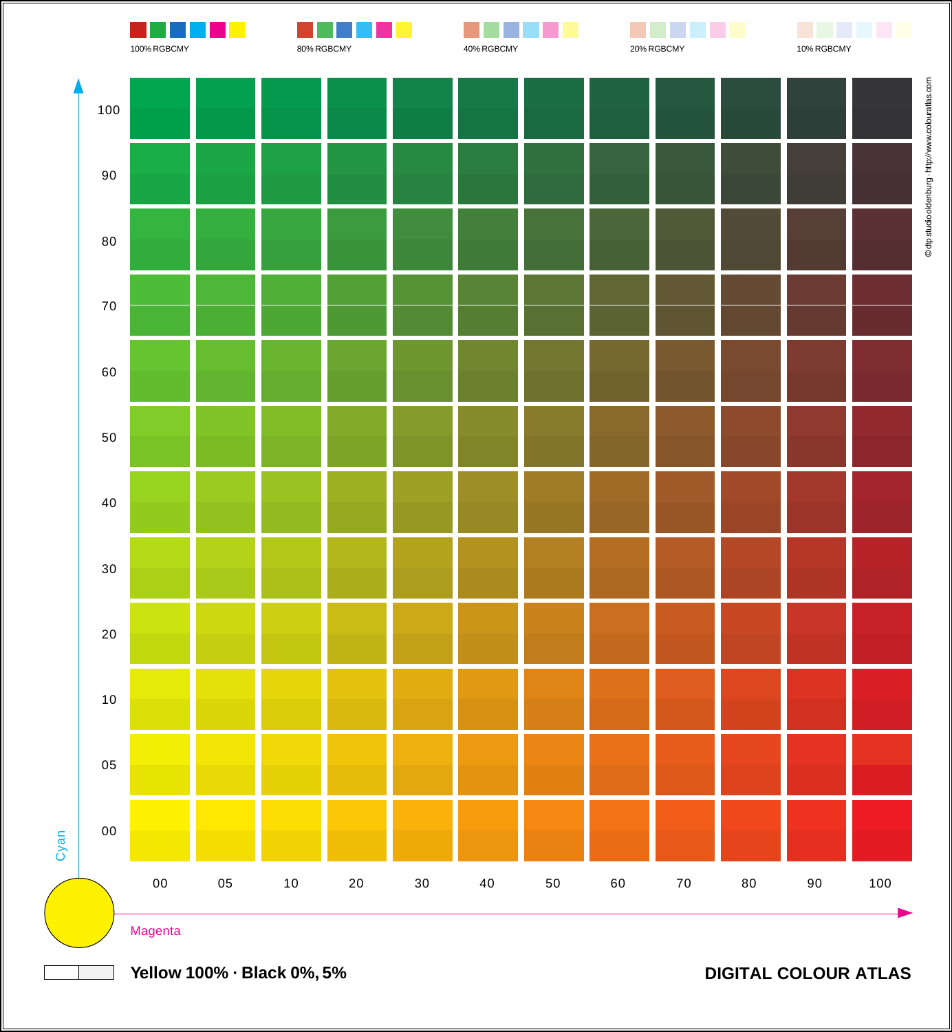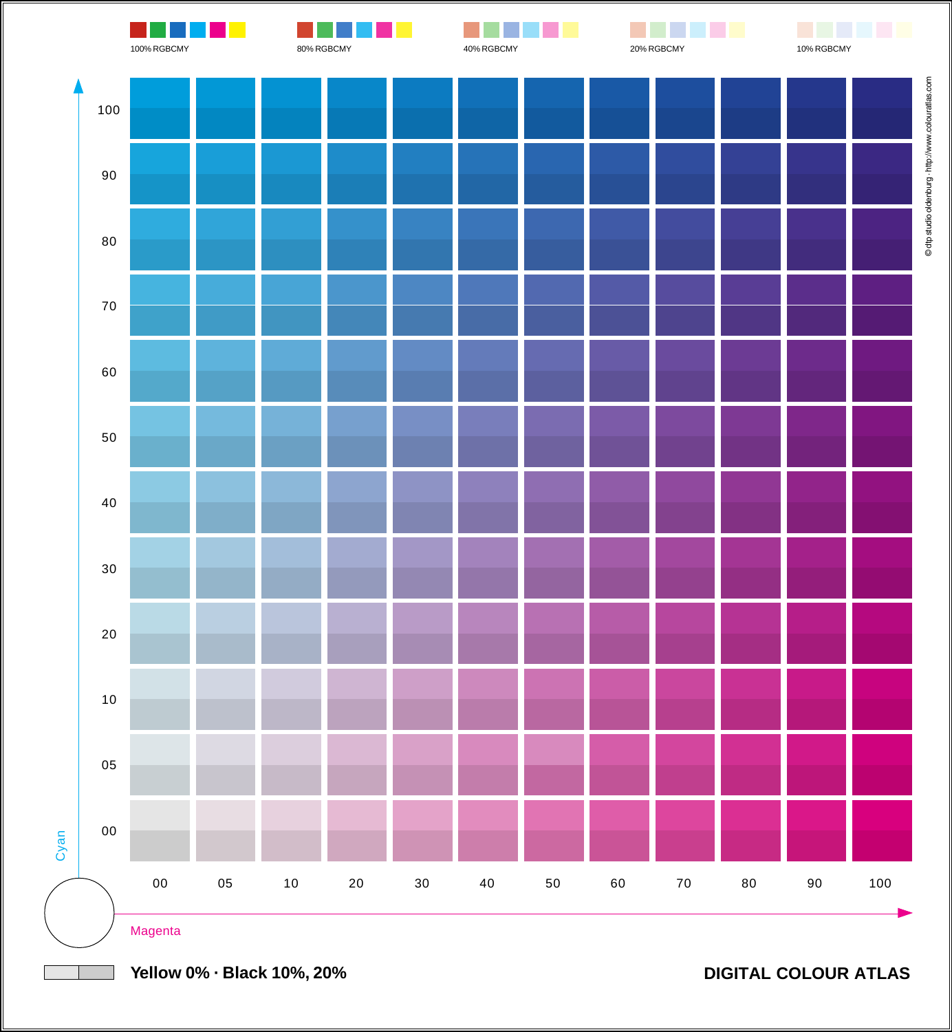

**Yellow 0% · Black 10%, 20%**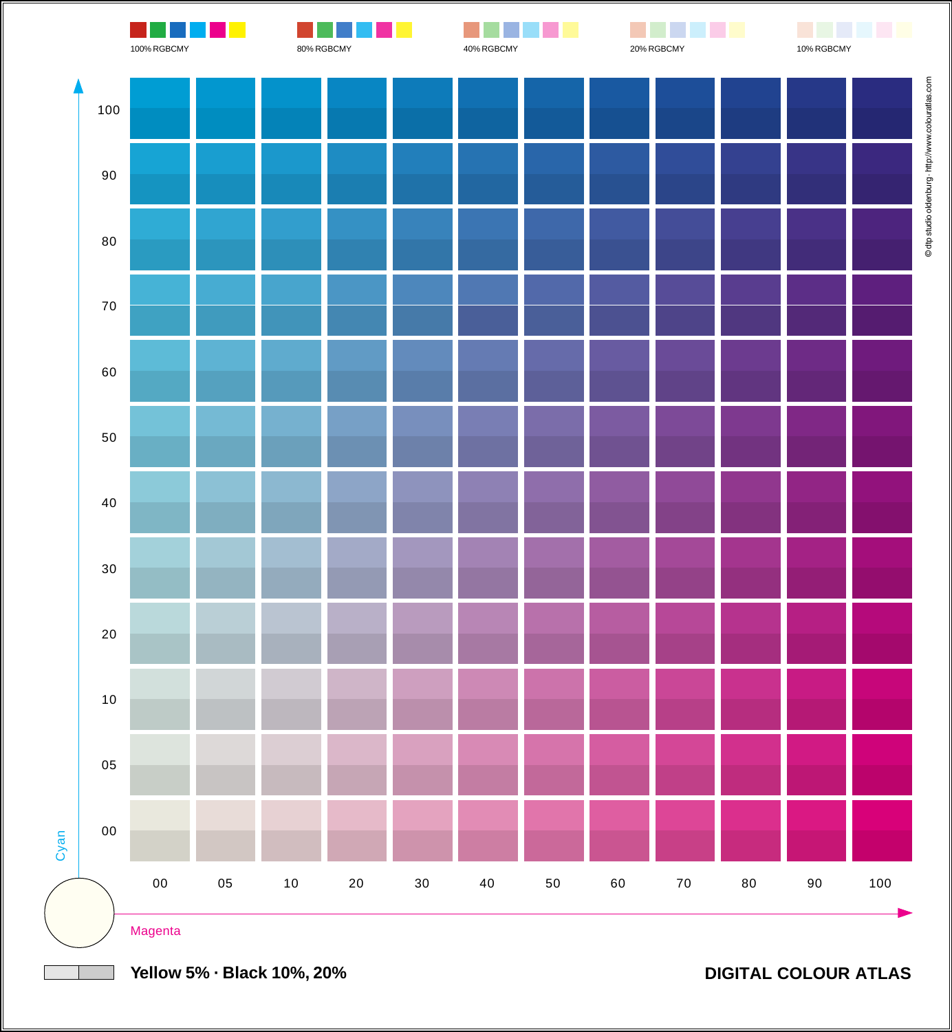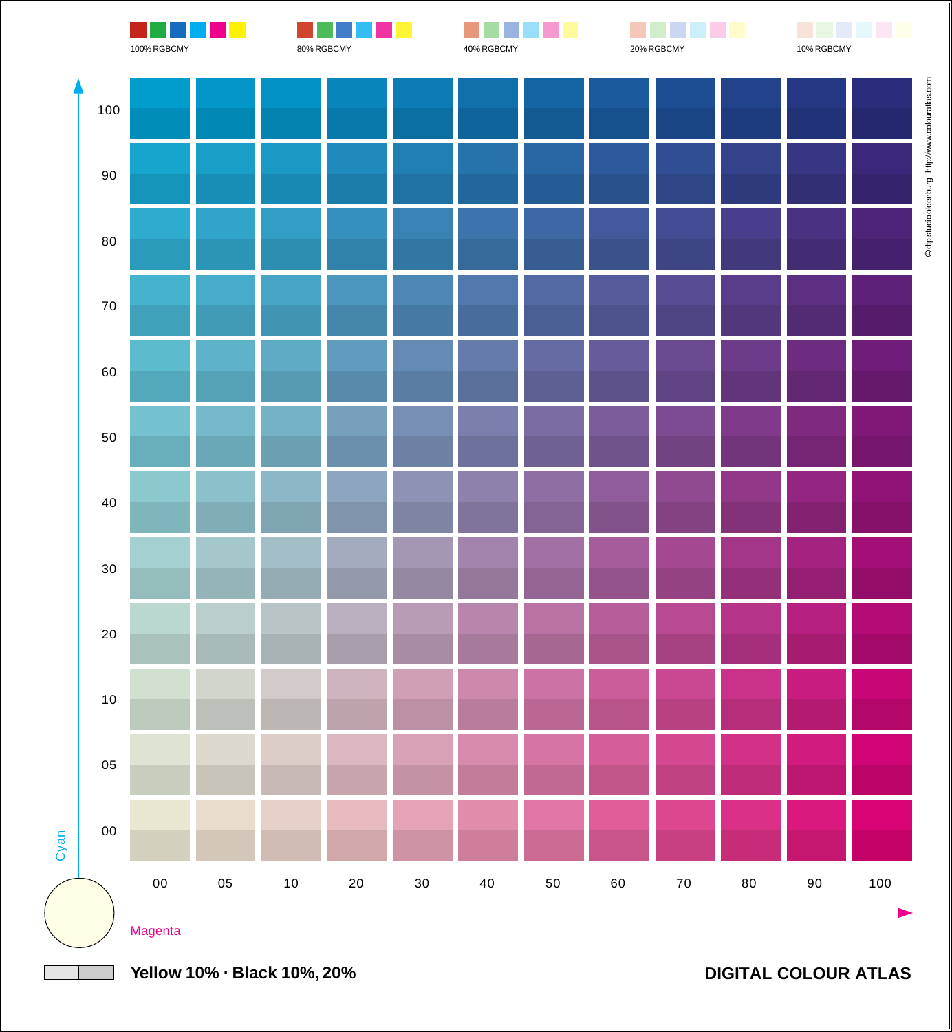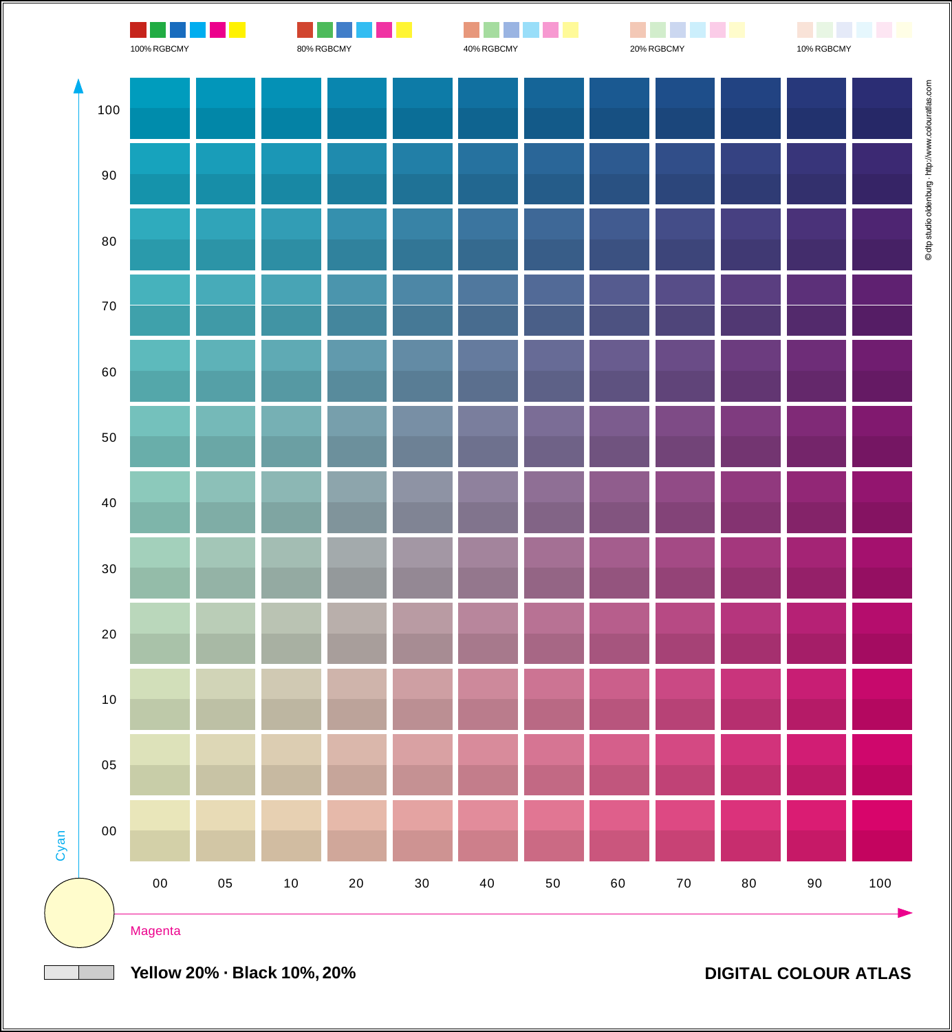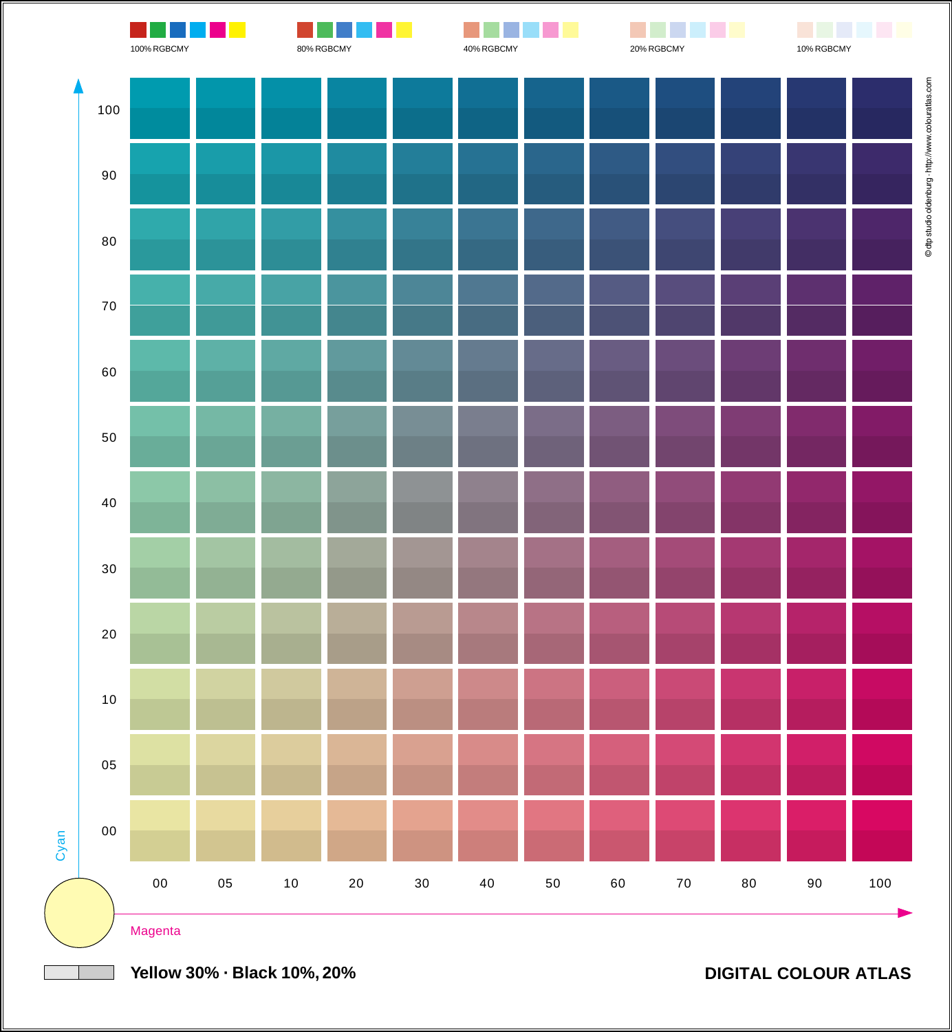

**Yellow 30% · Black 10%, 20%**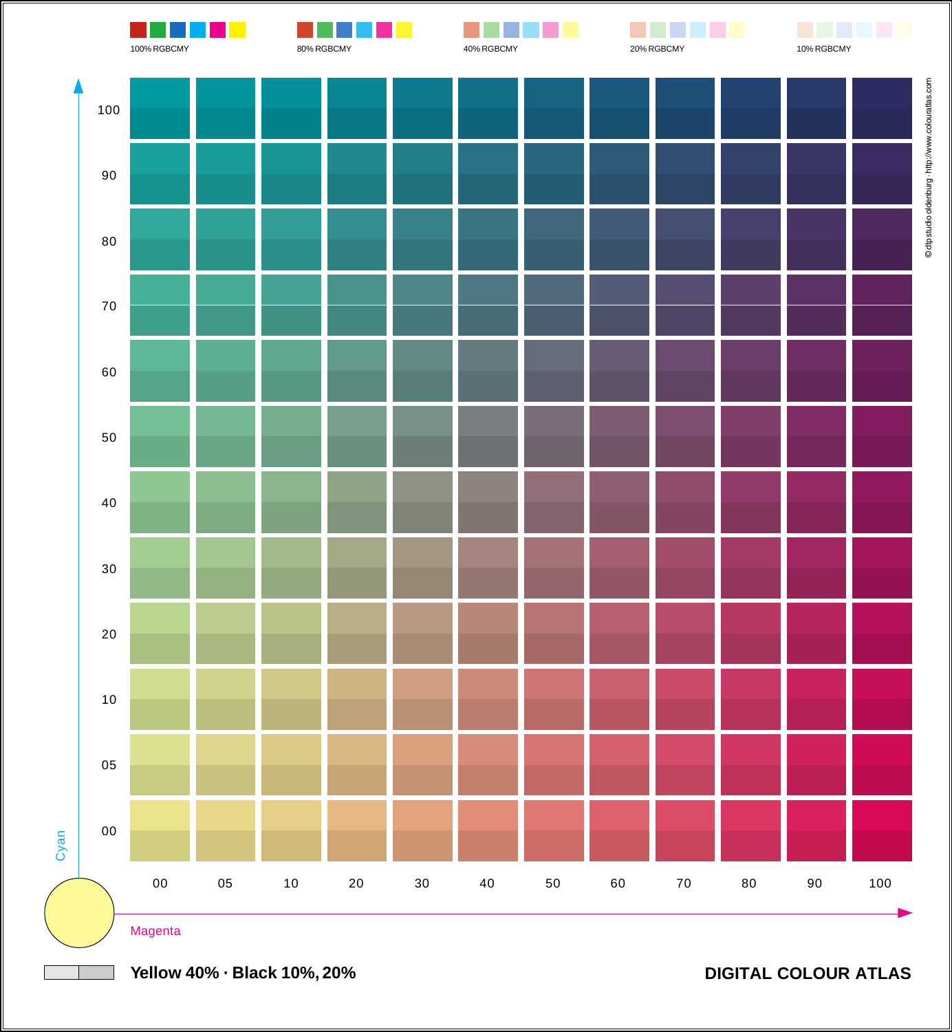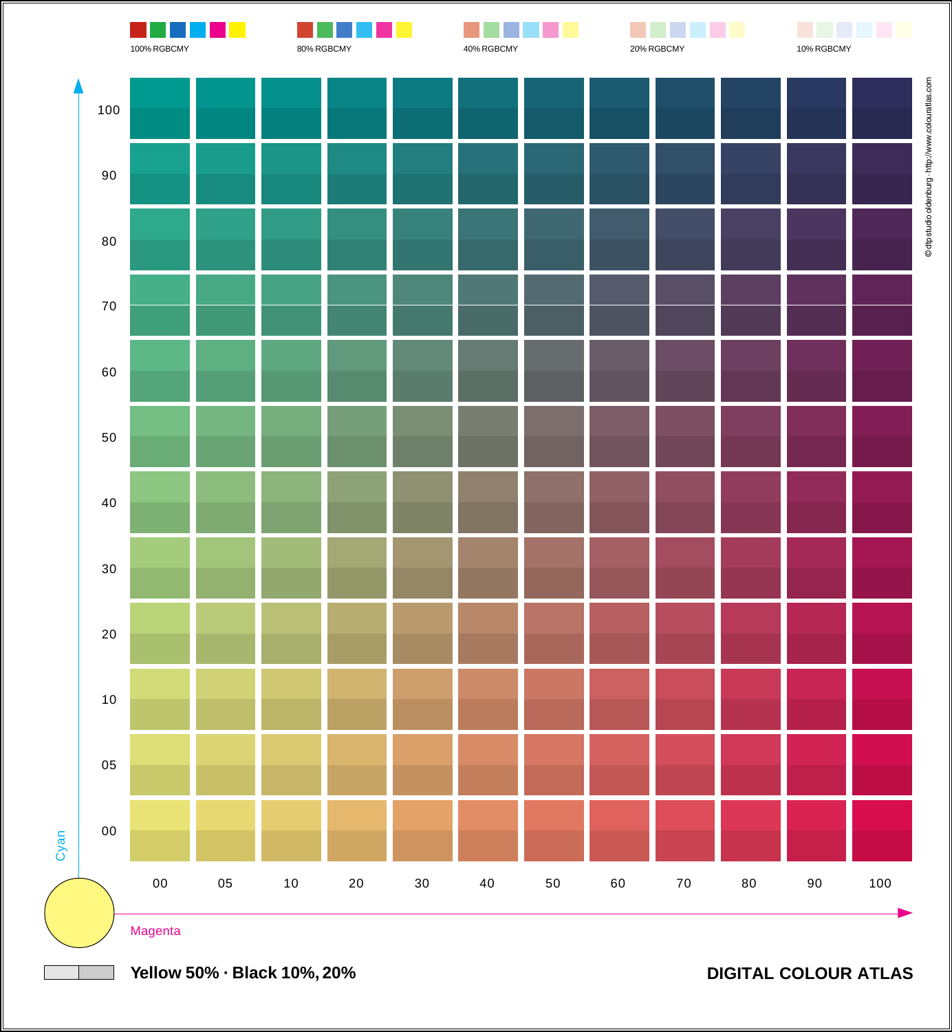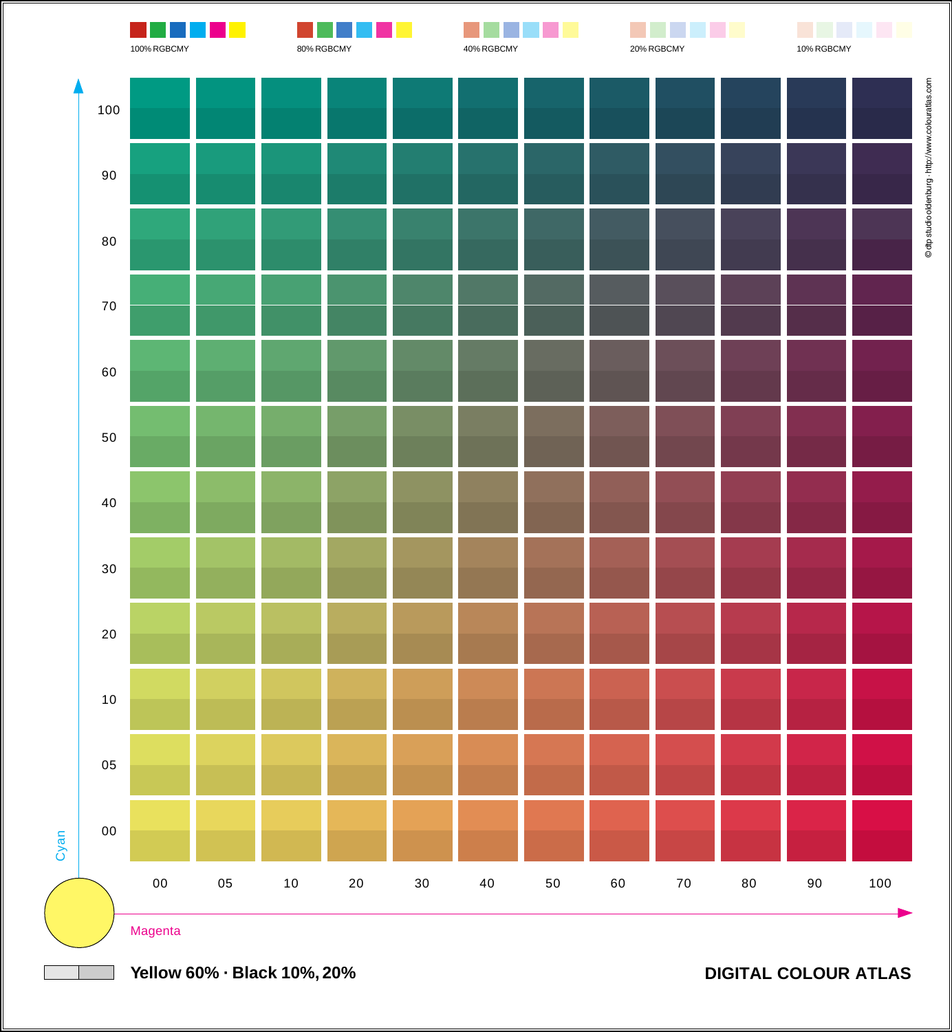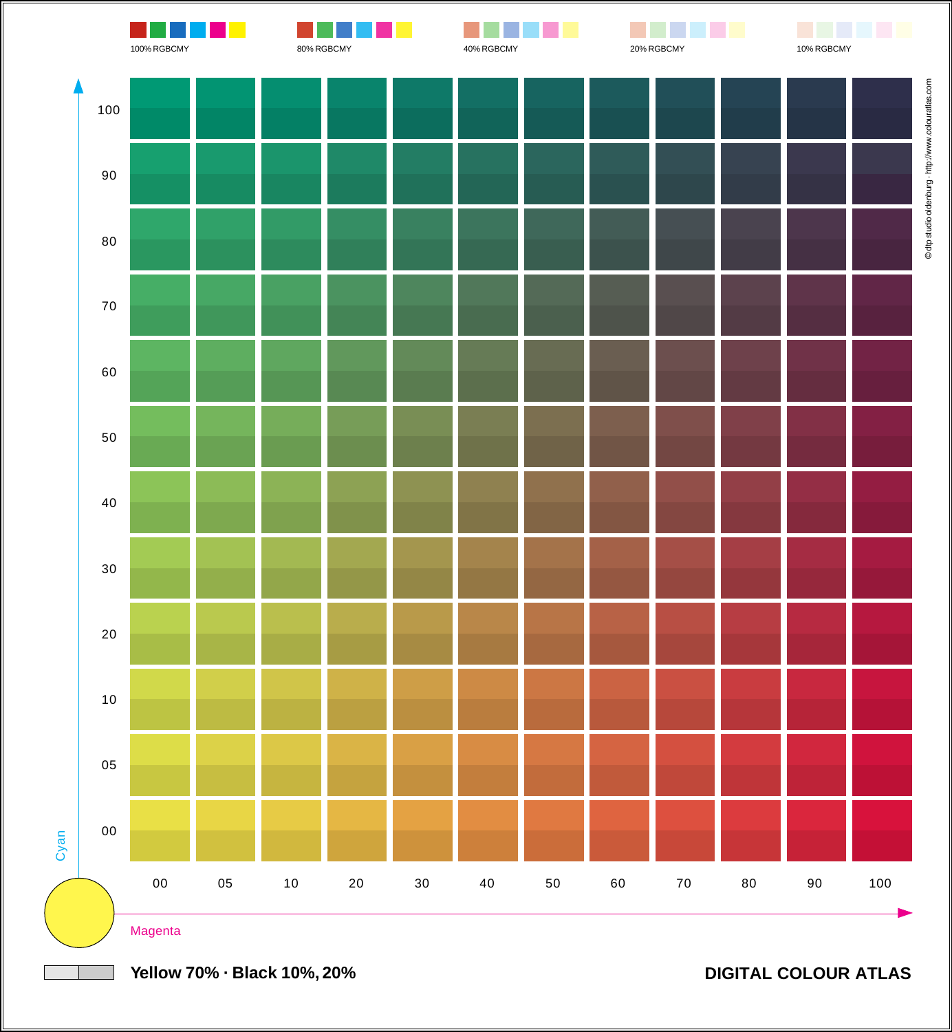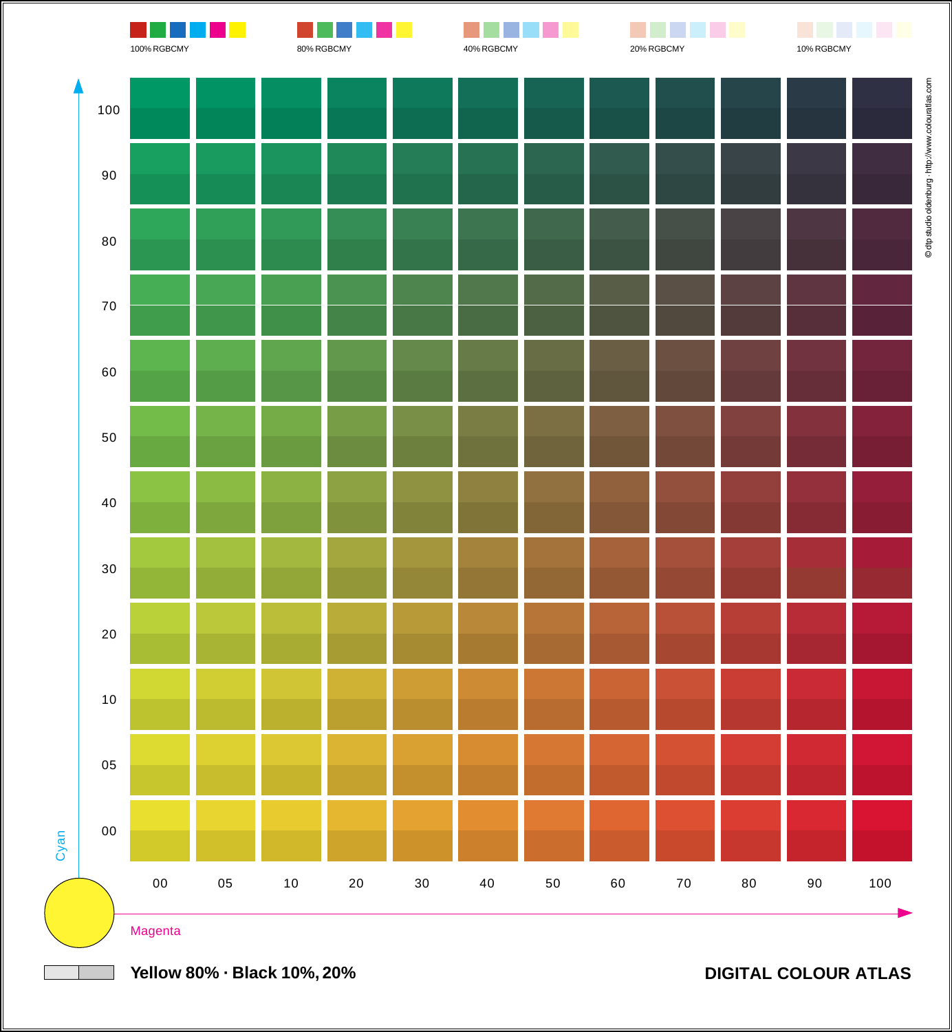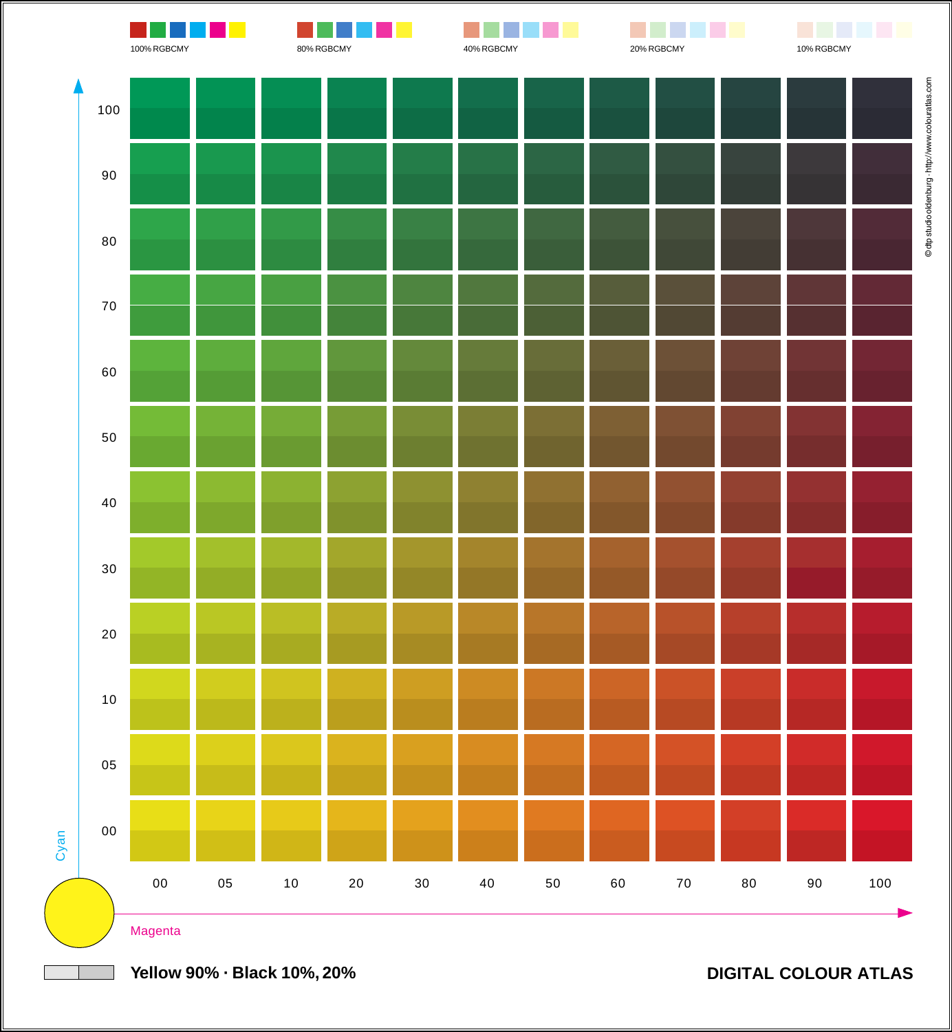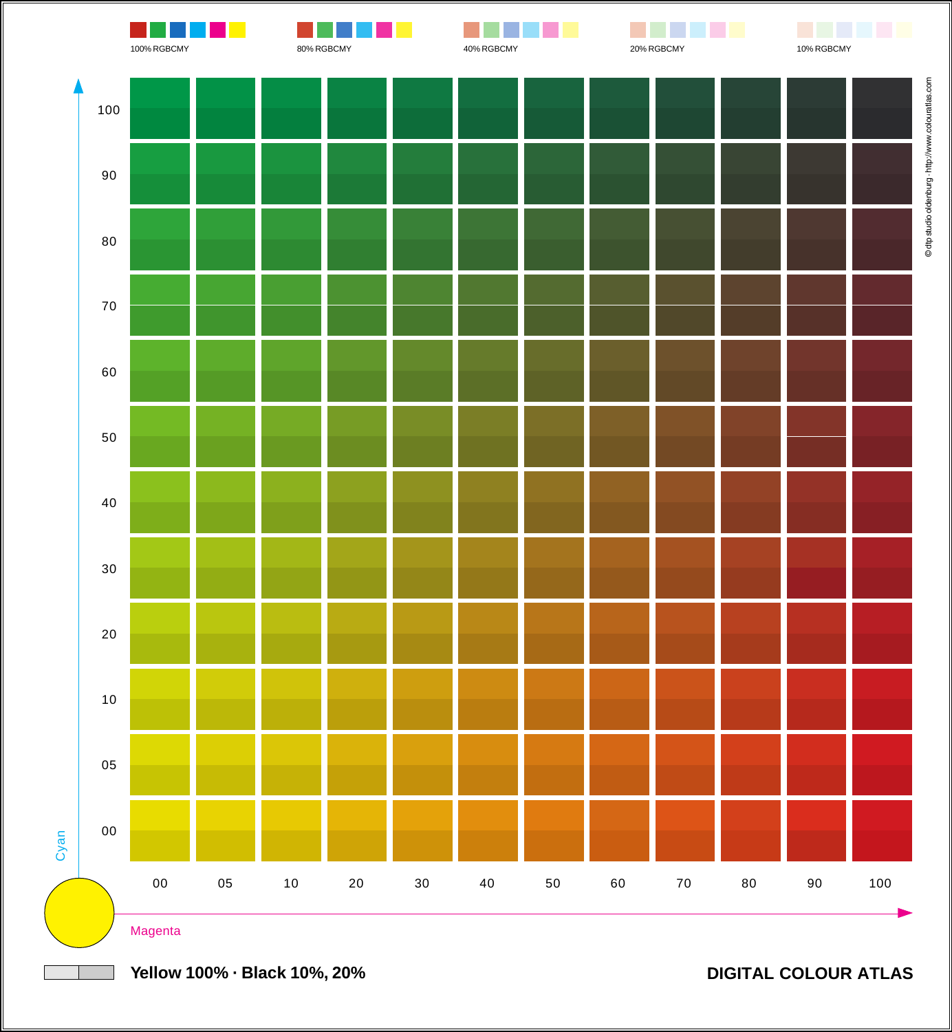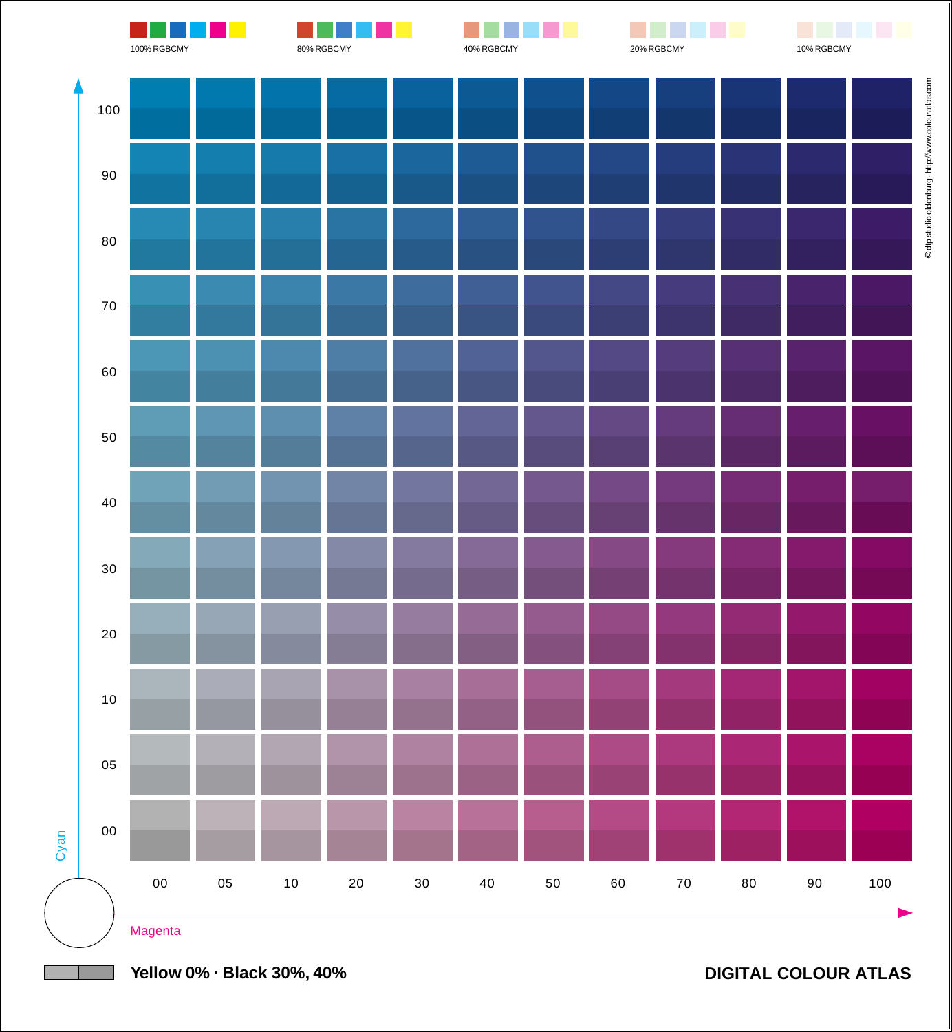

**Yellow 0% · Black 30%, 40%**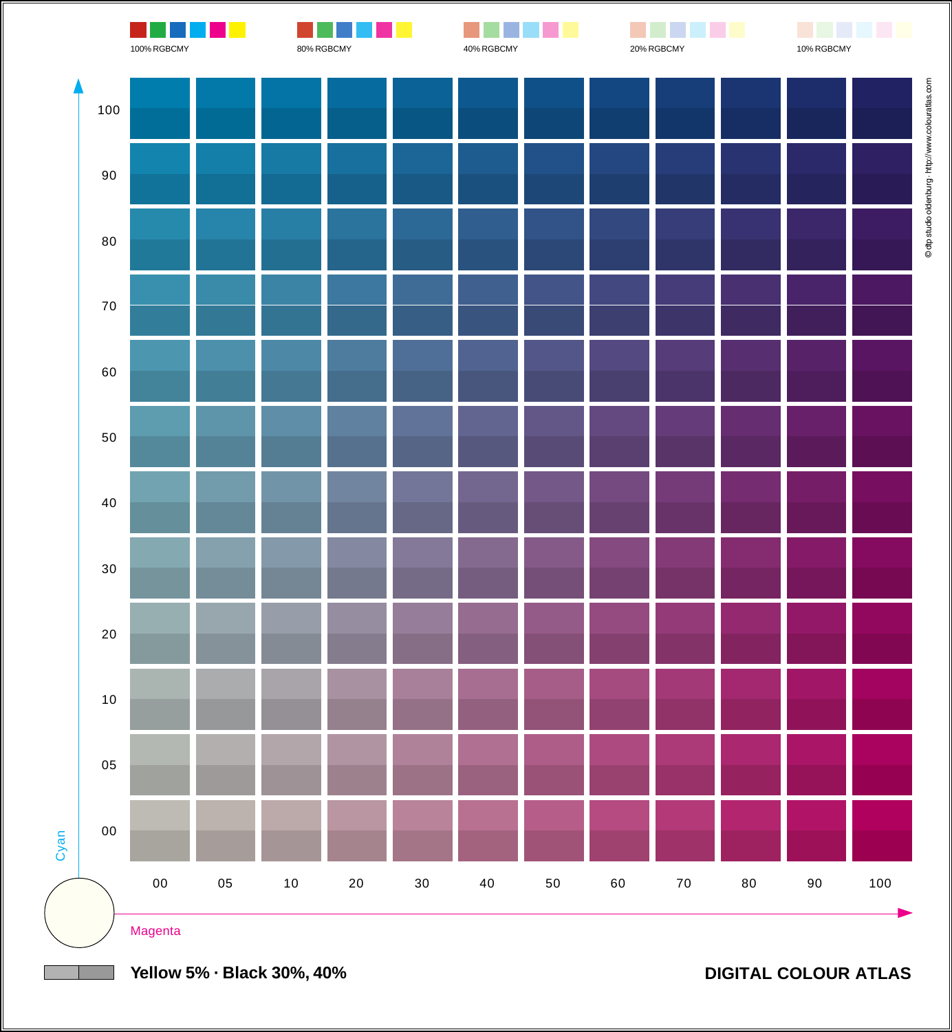

**Yellow 5% · Black 30%, 40%**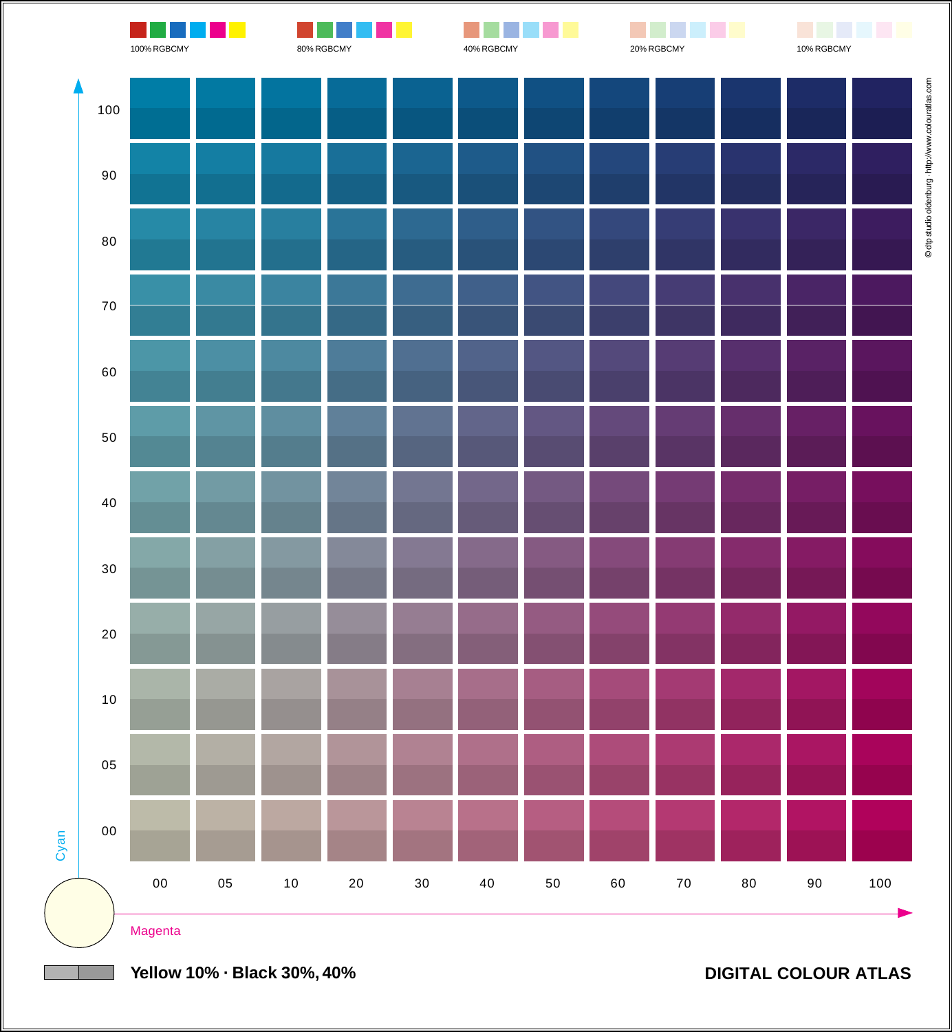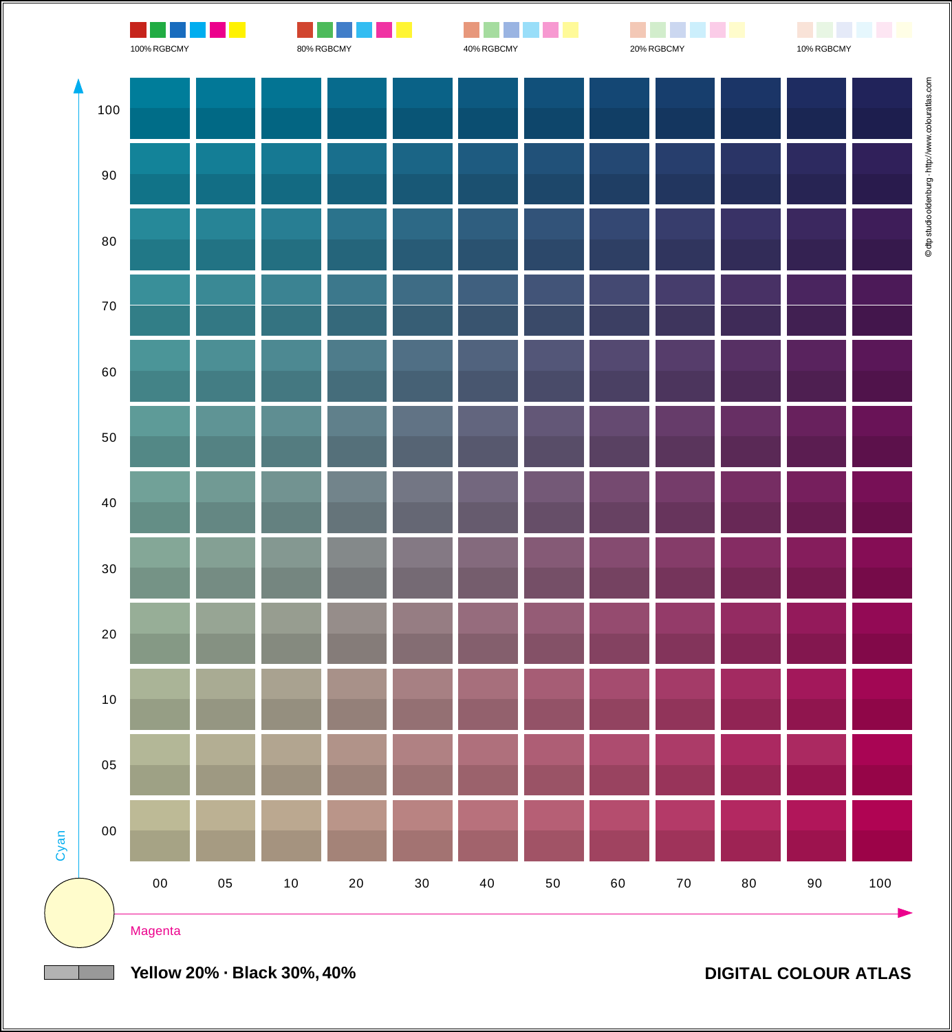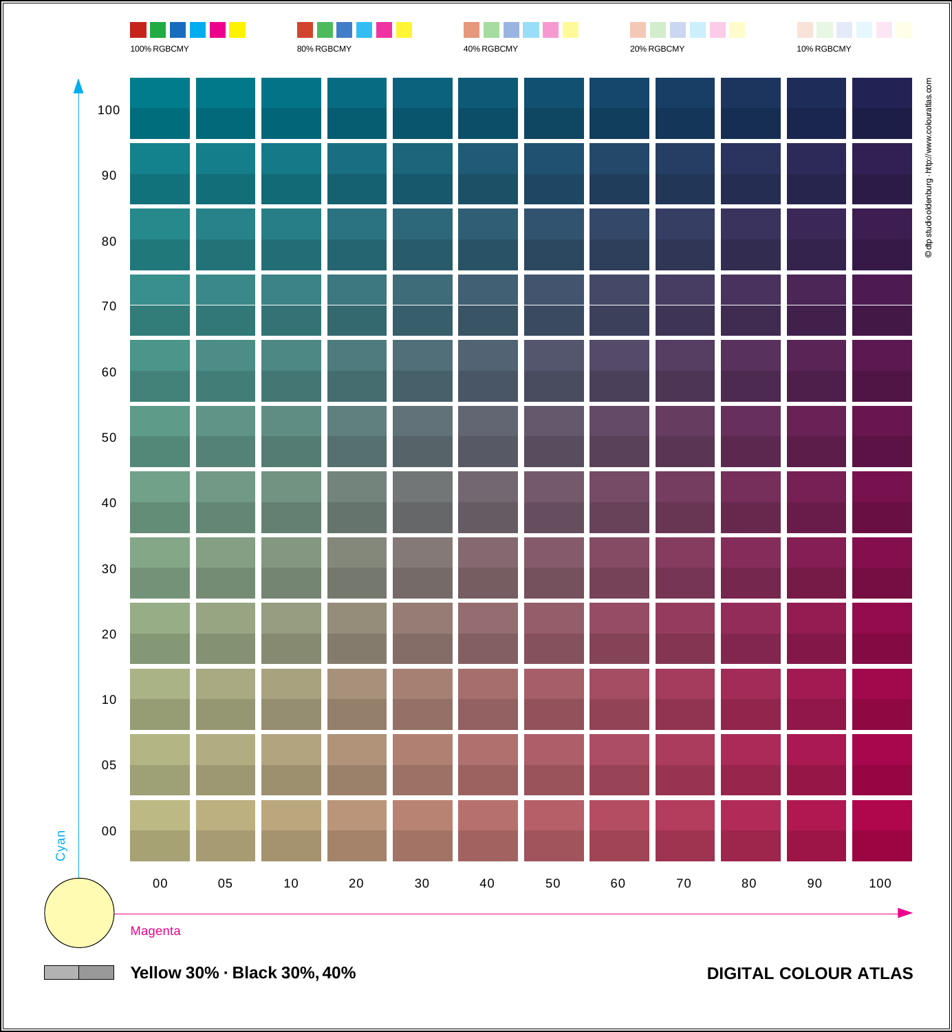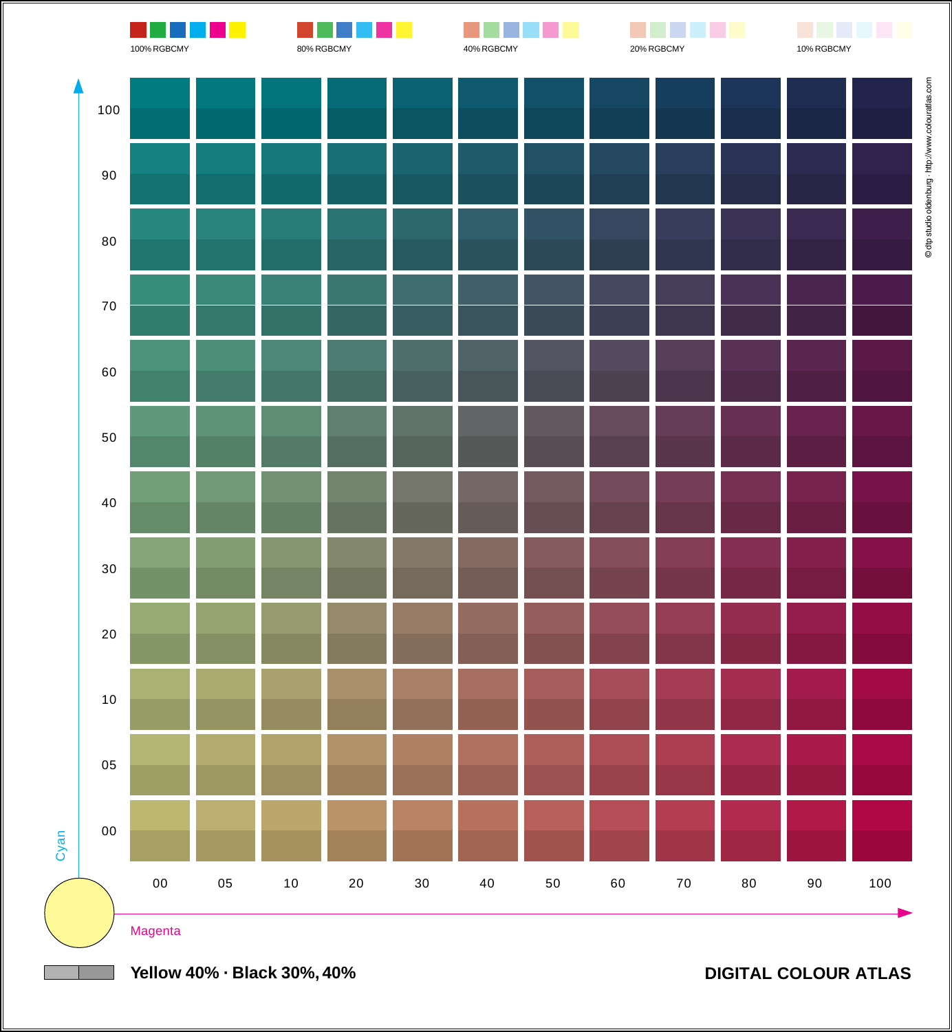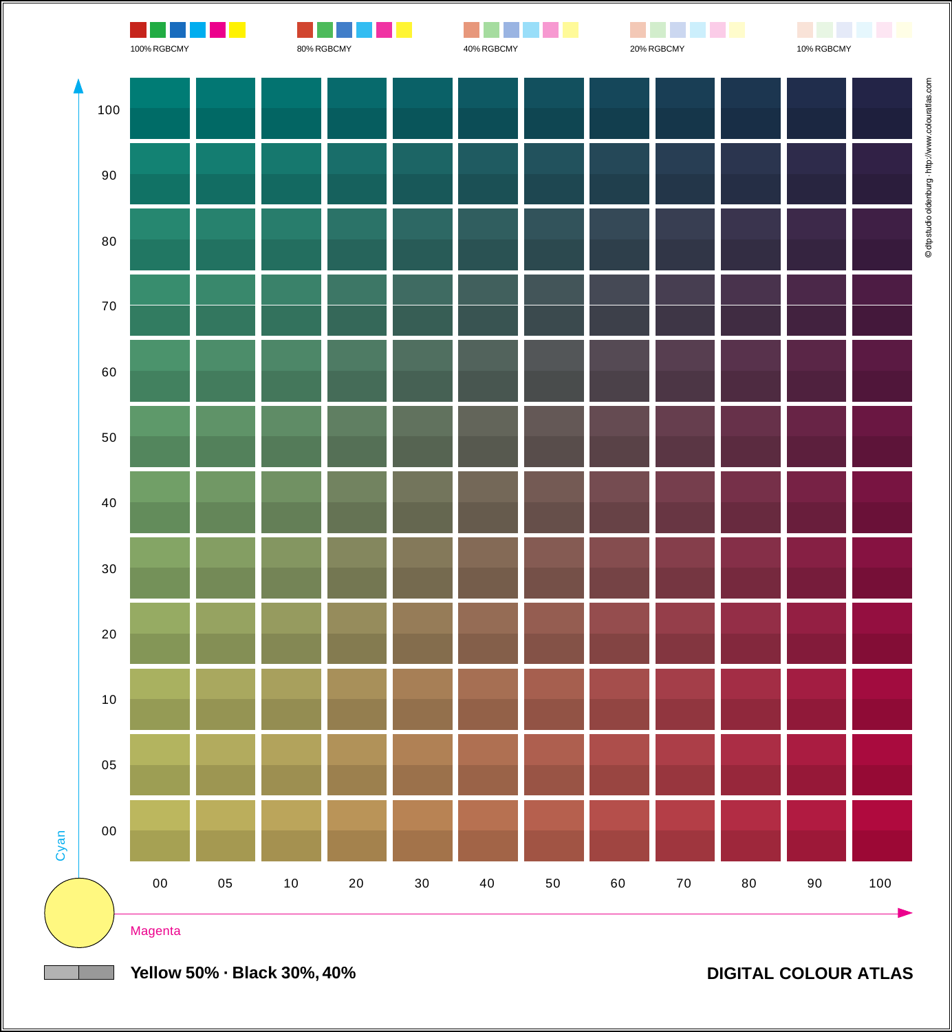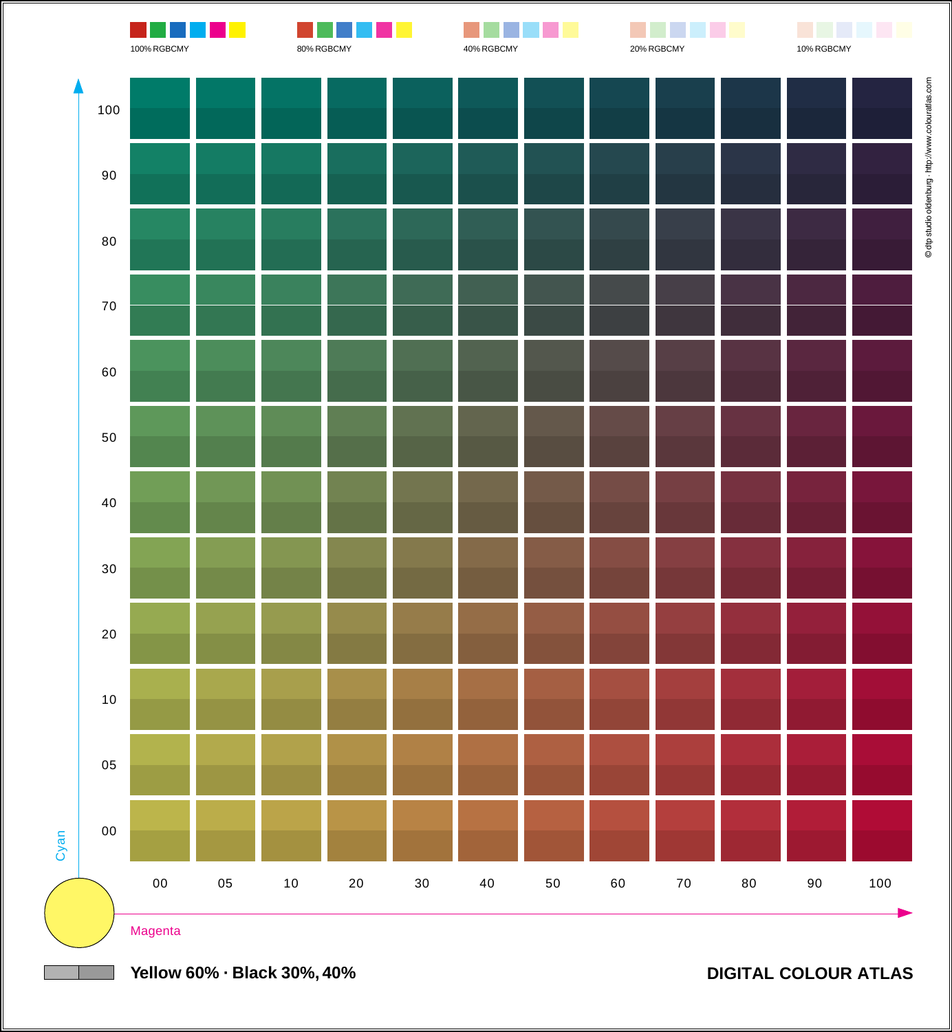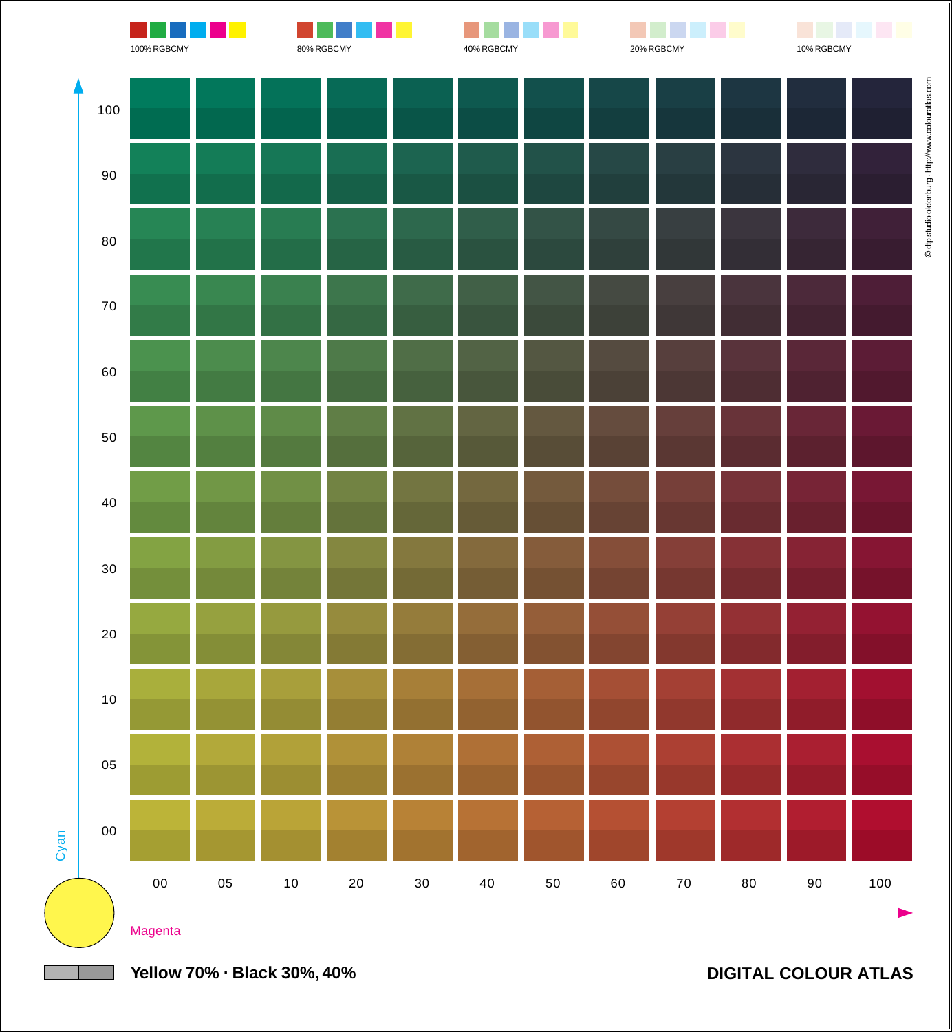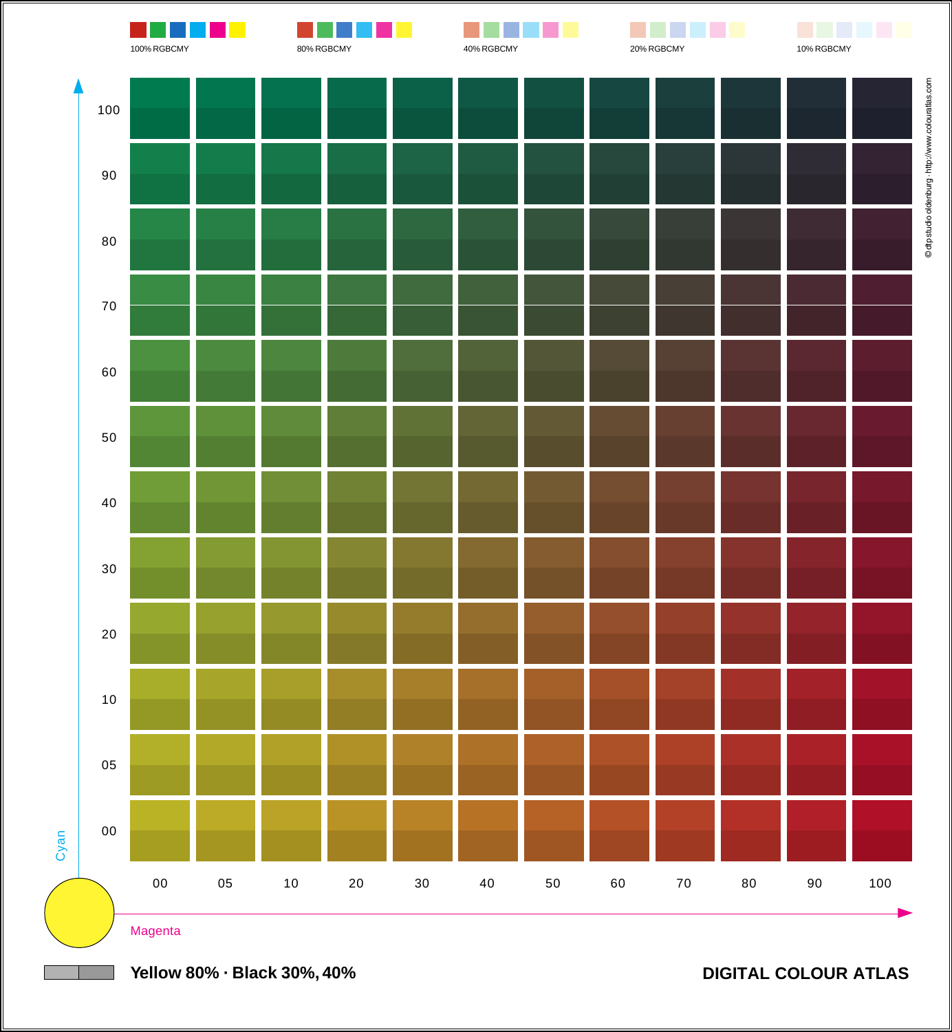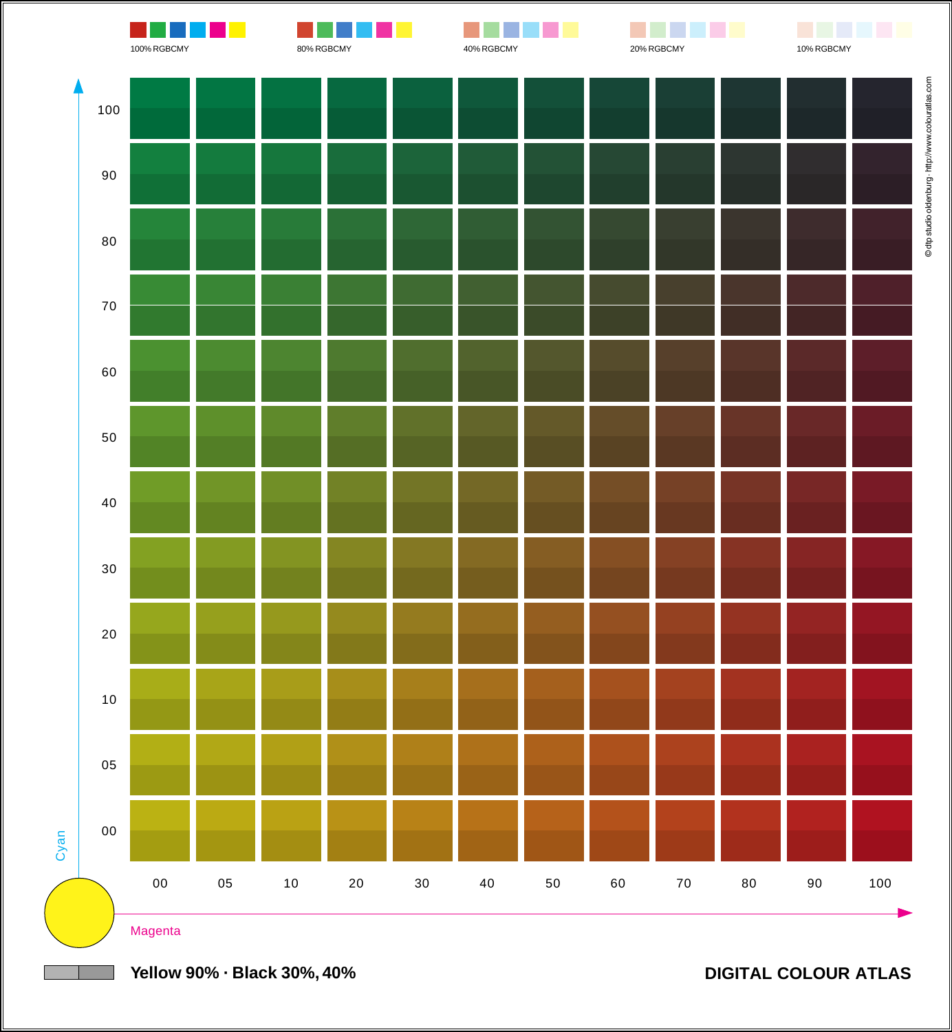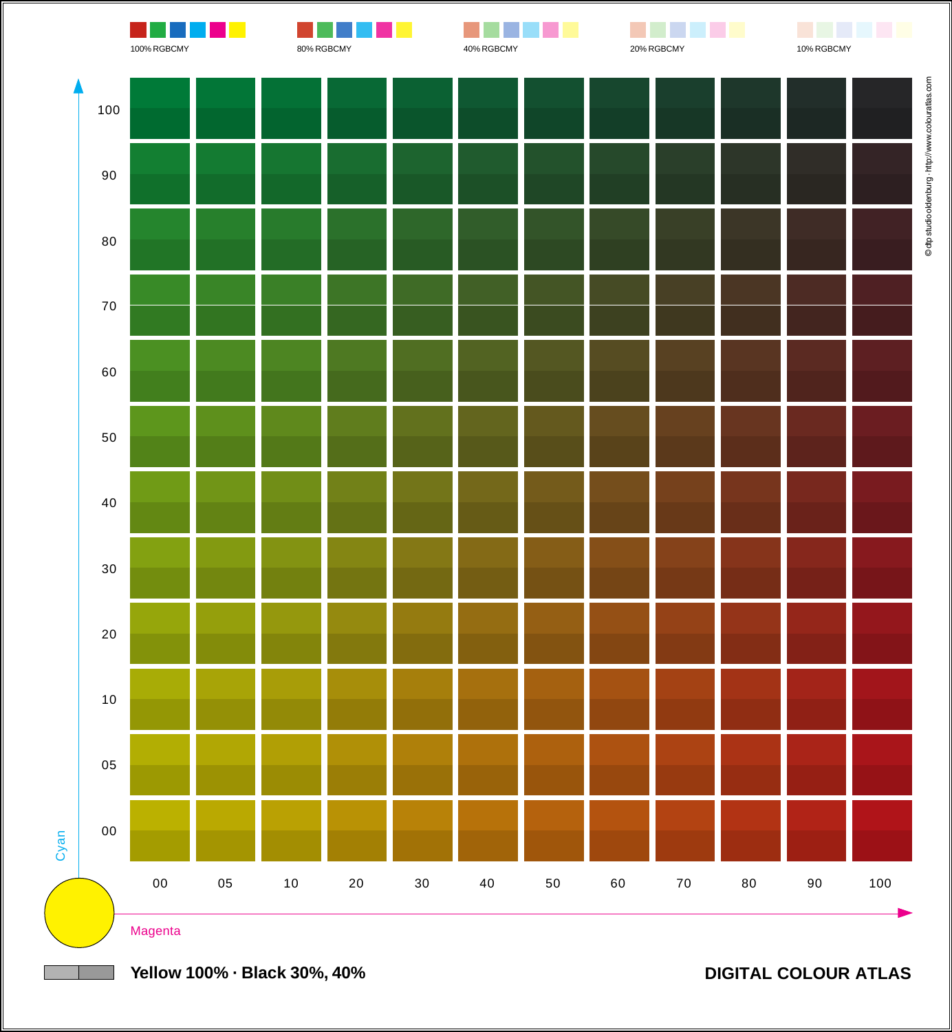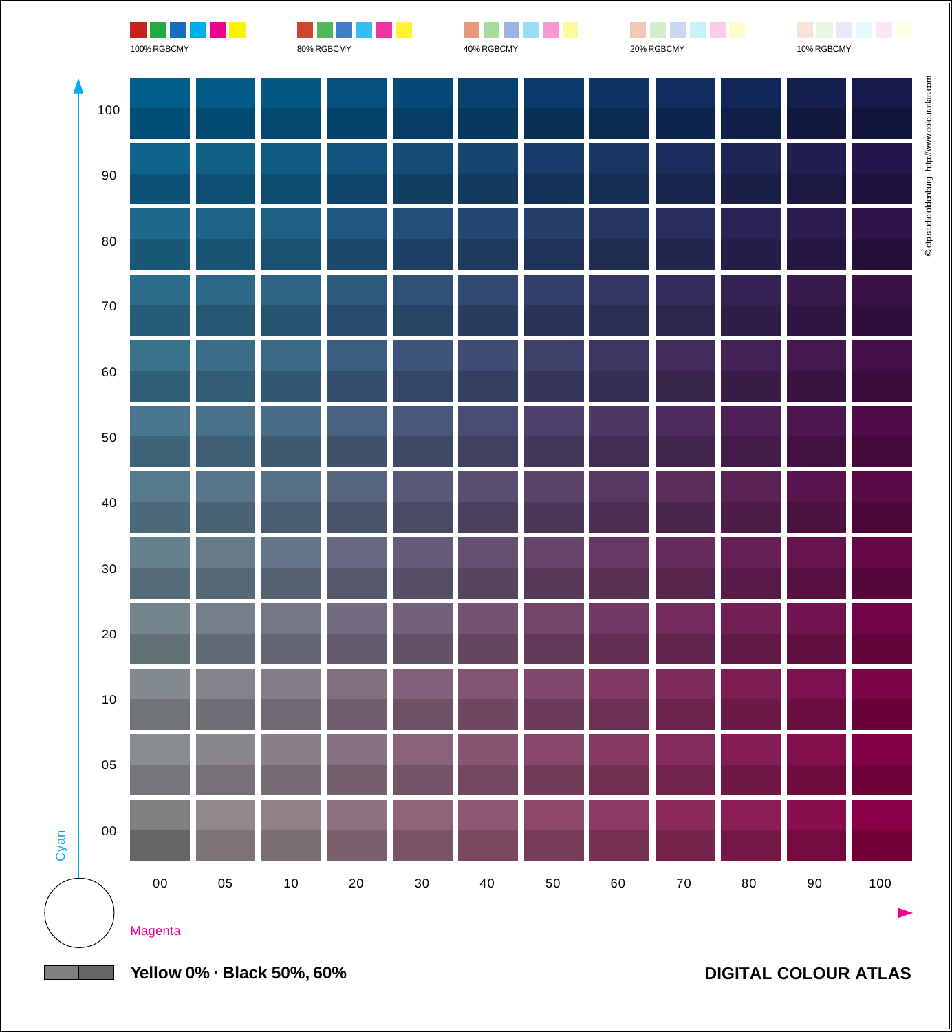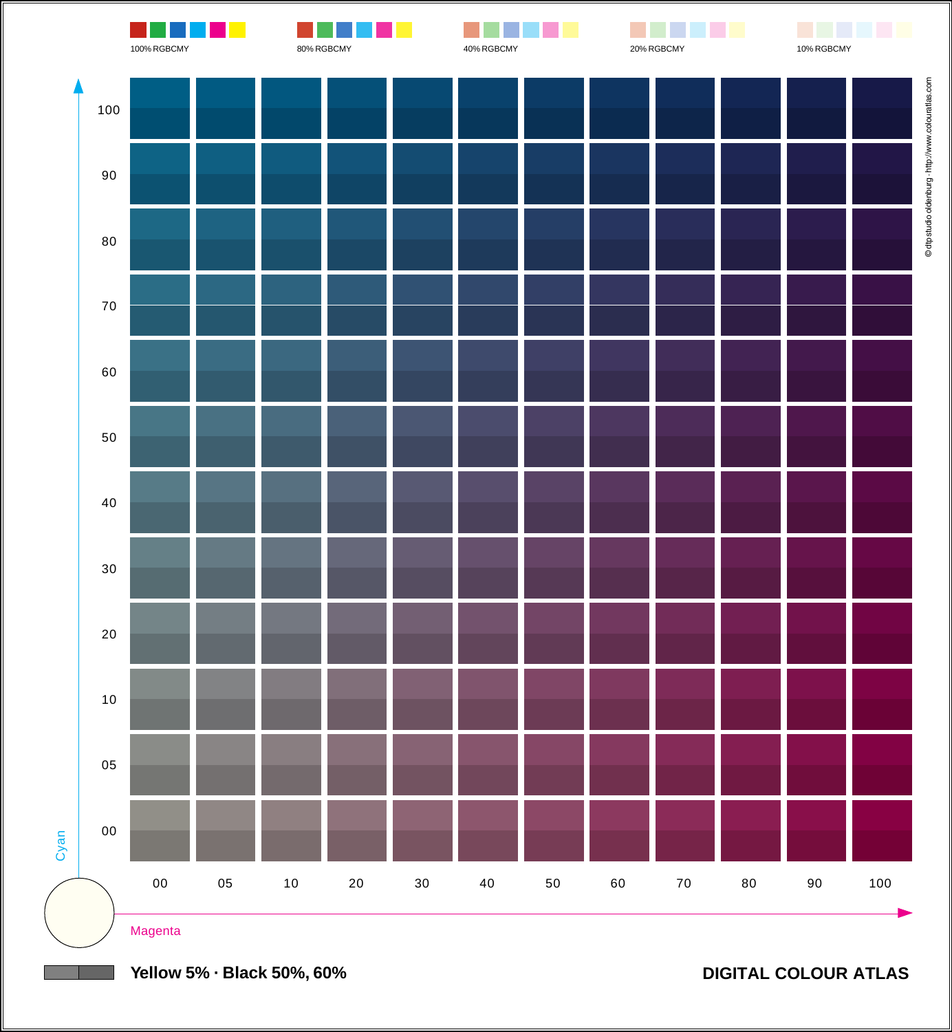

**Yellow 5% · Black 50%, 60%**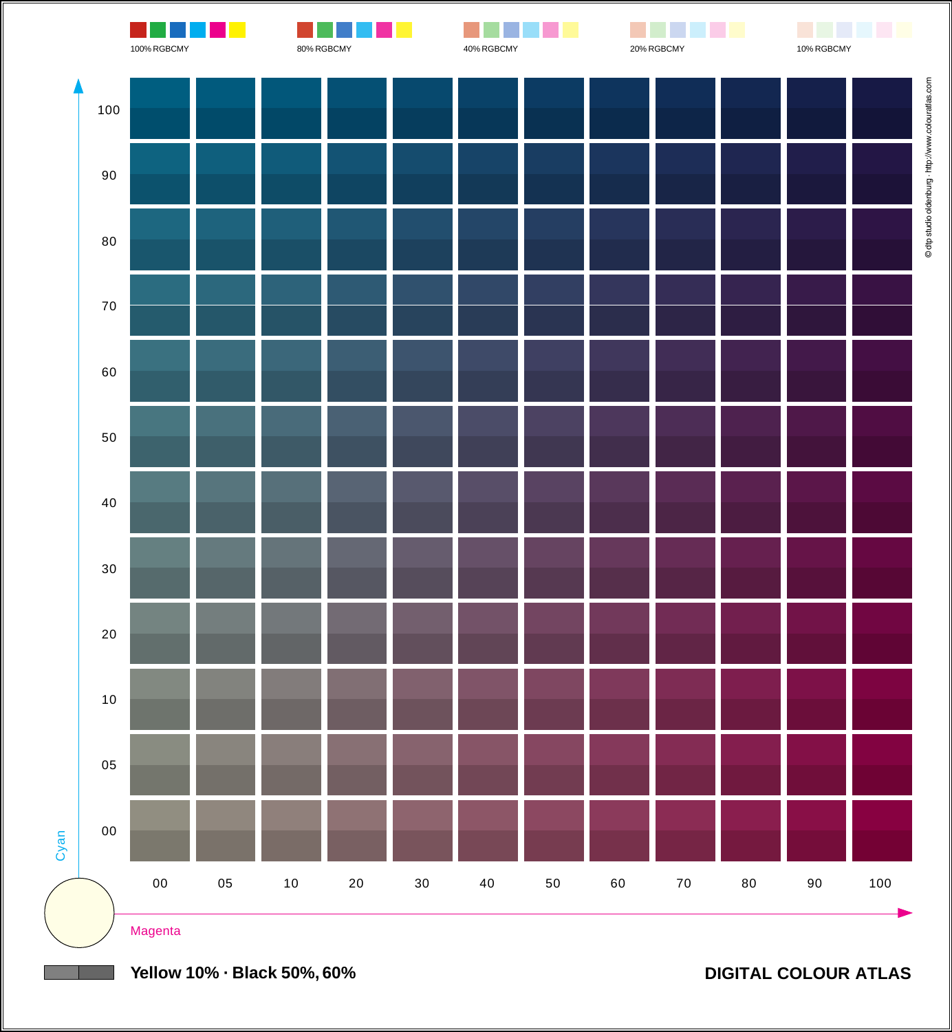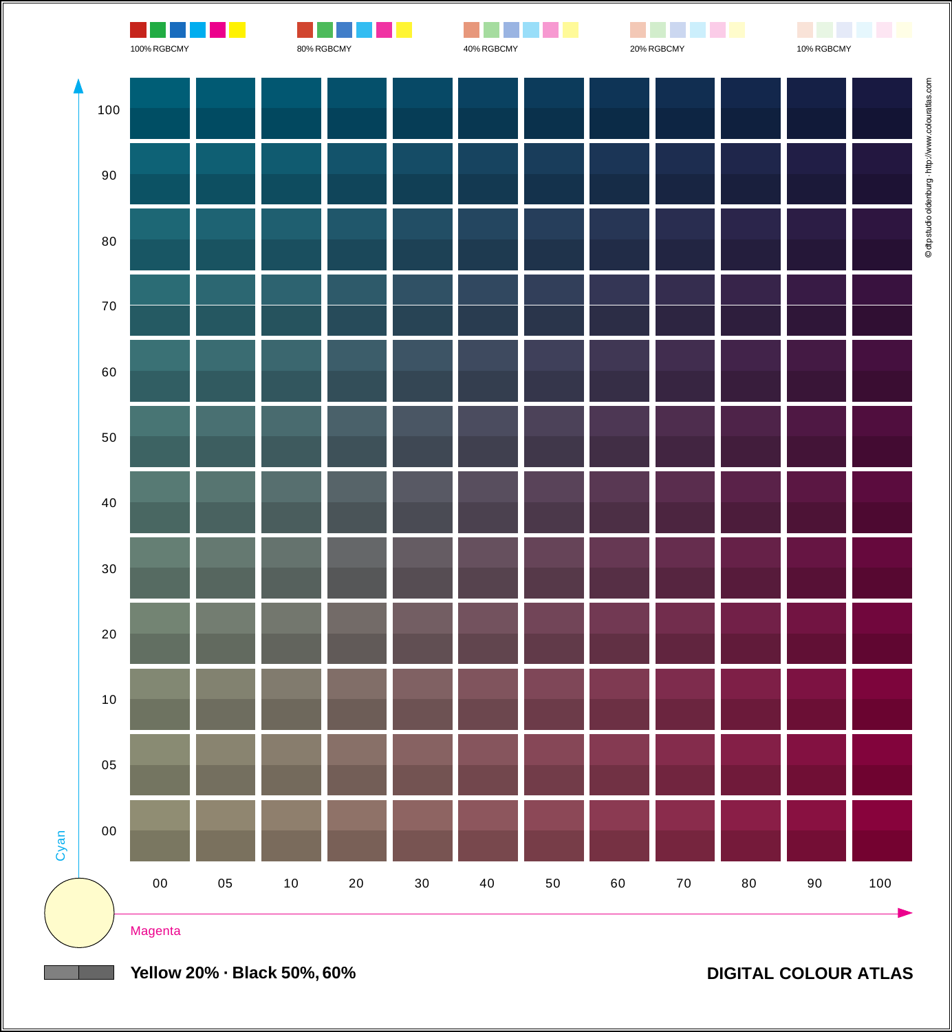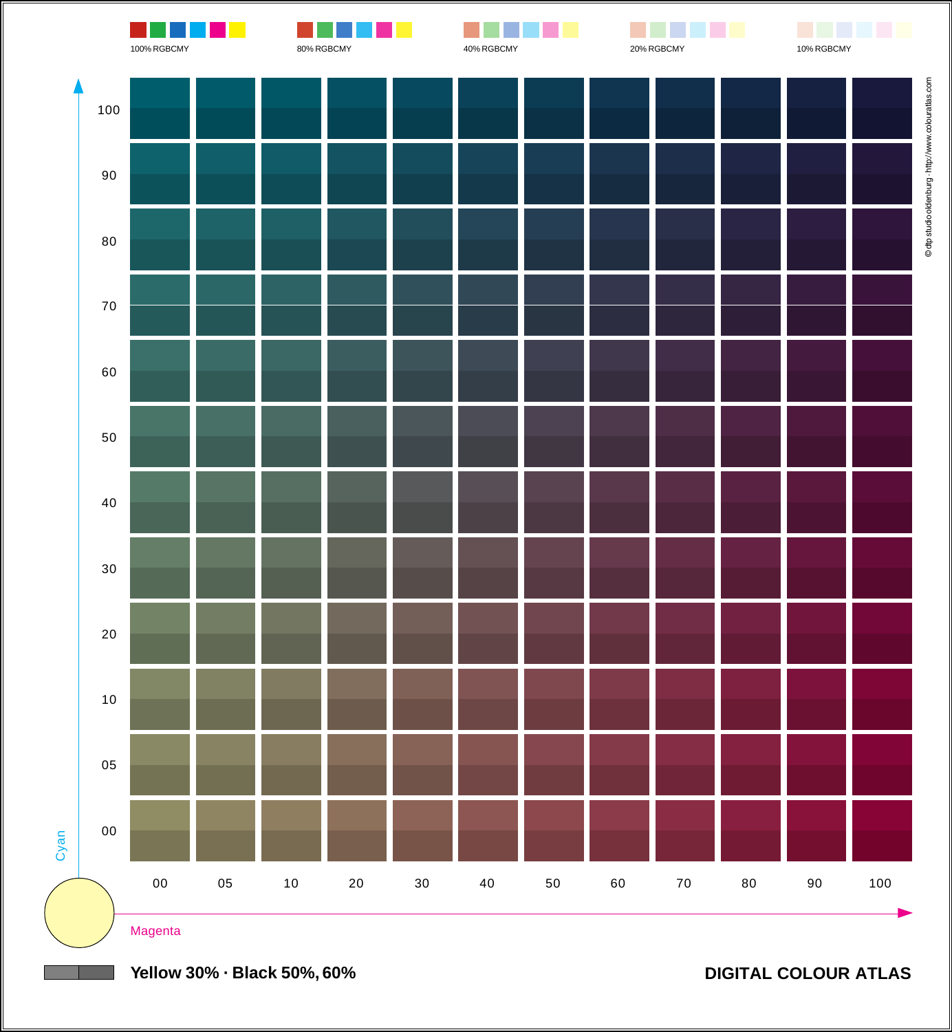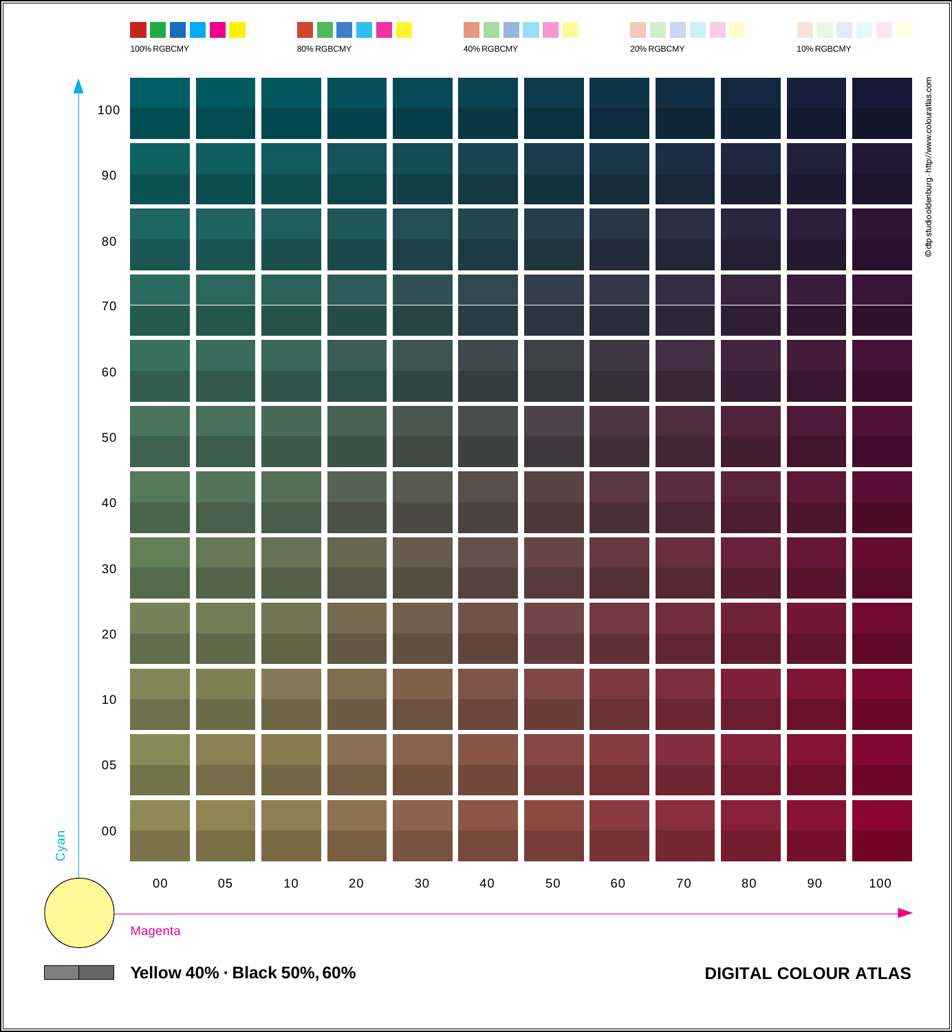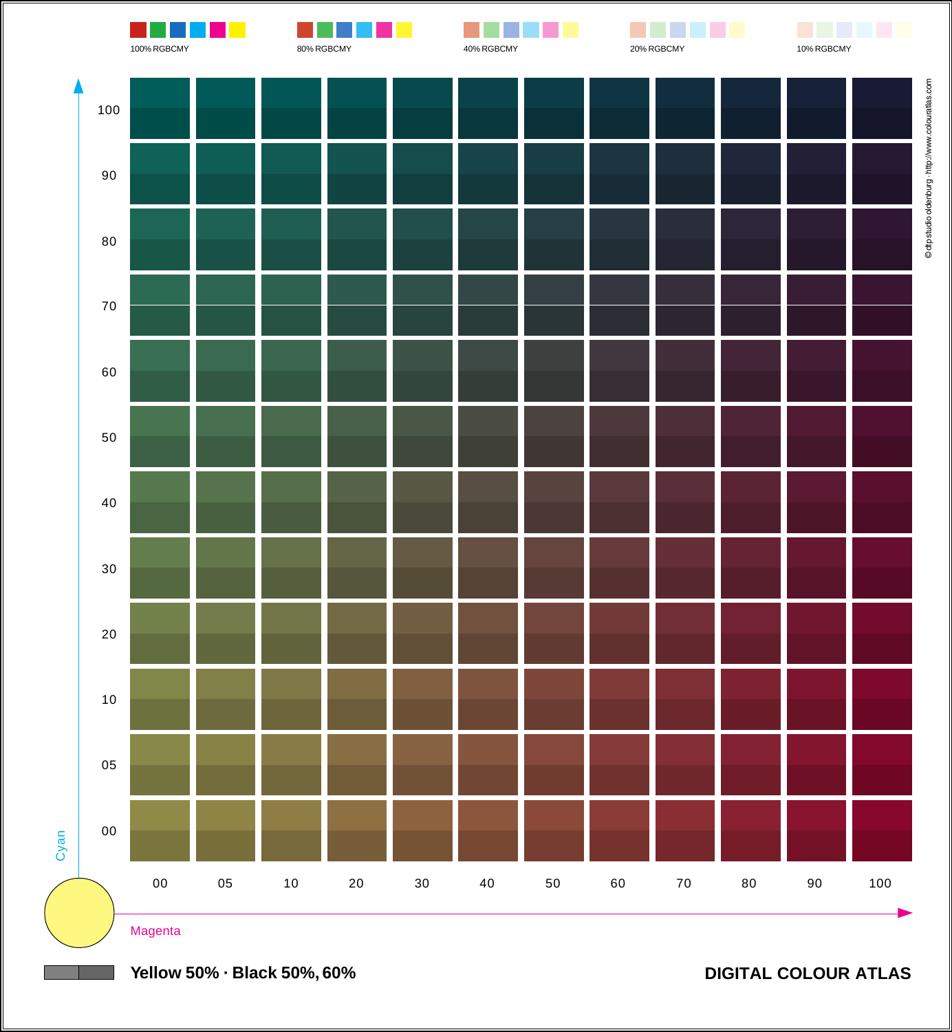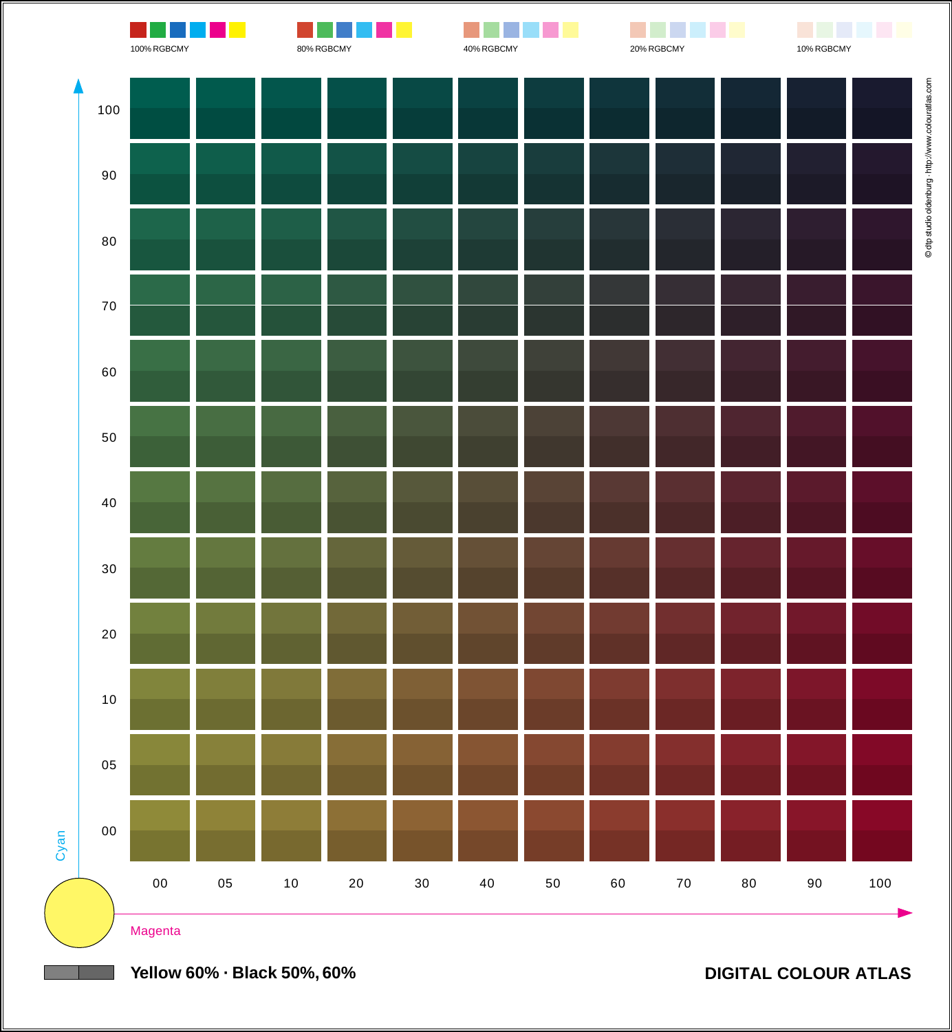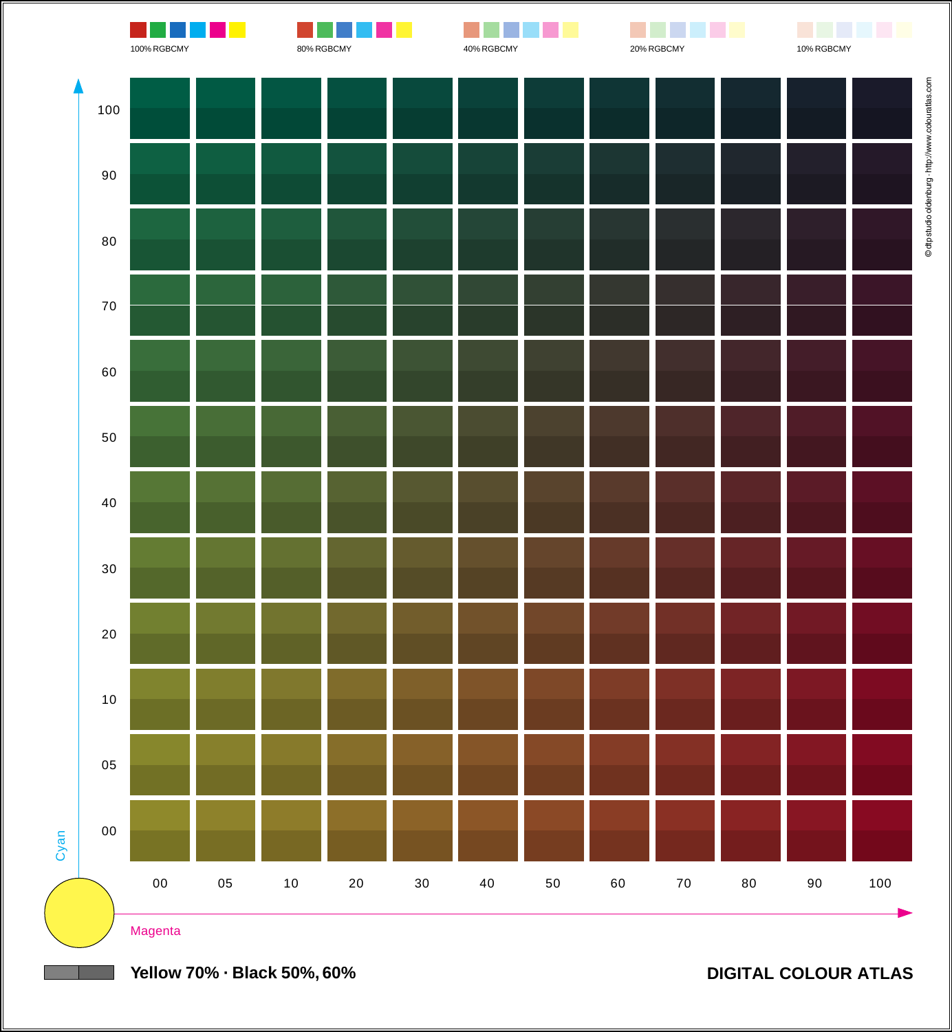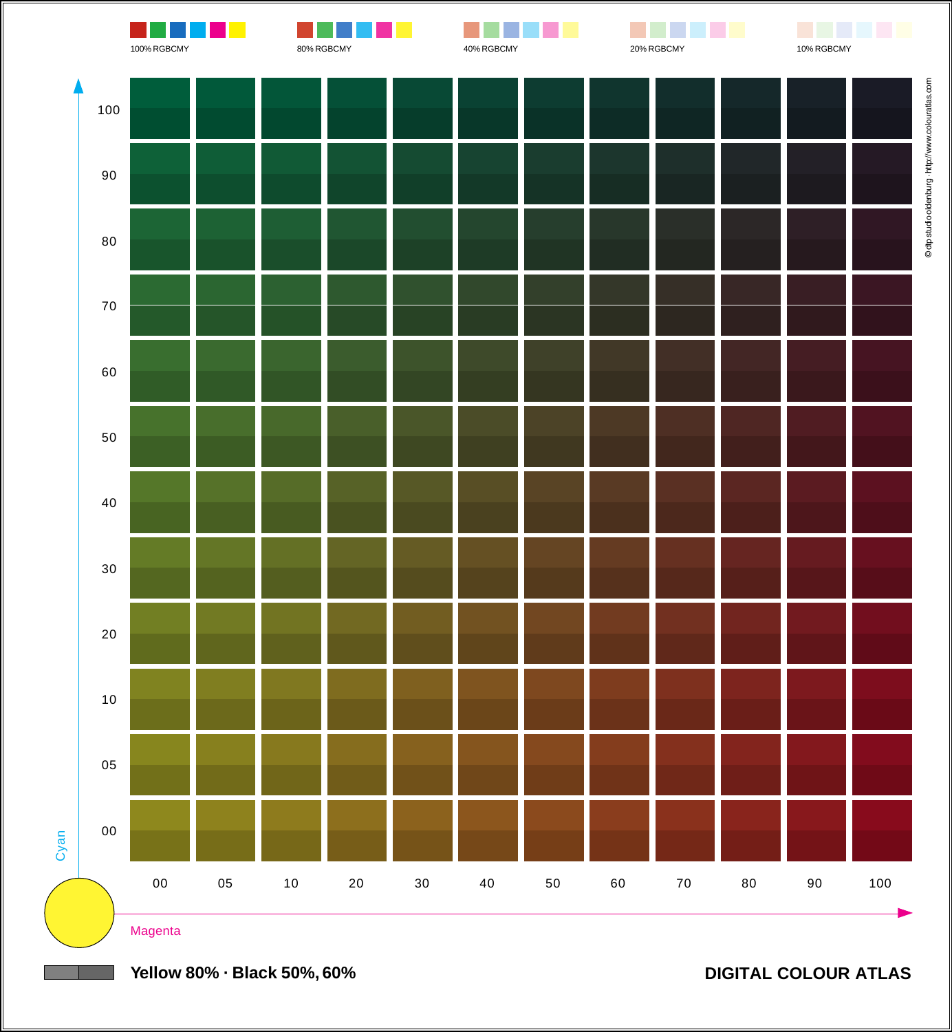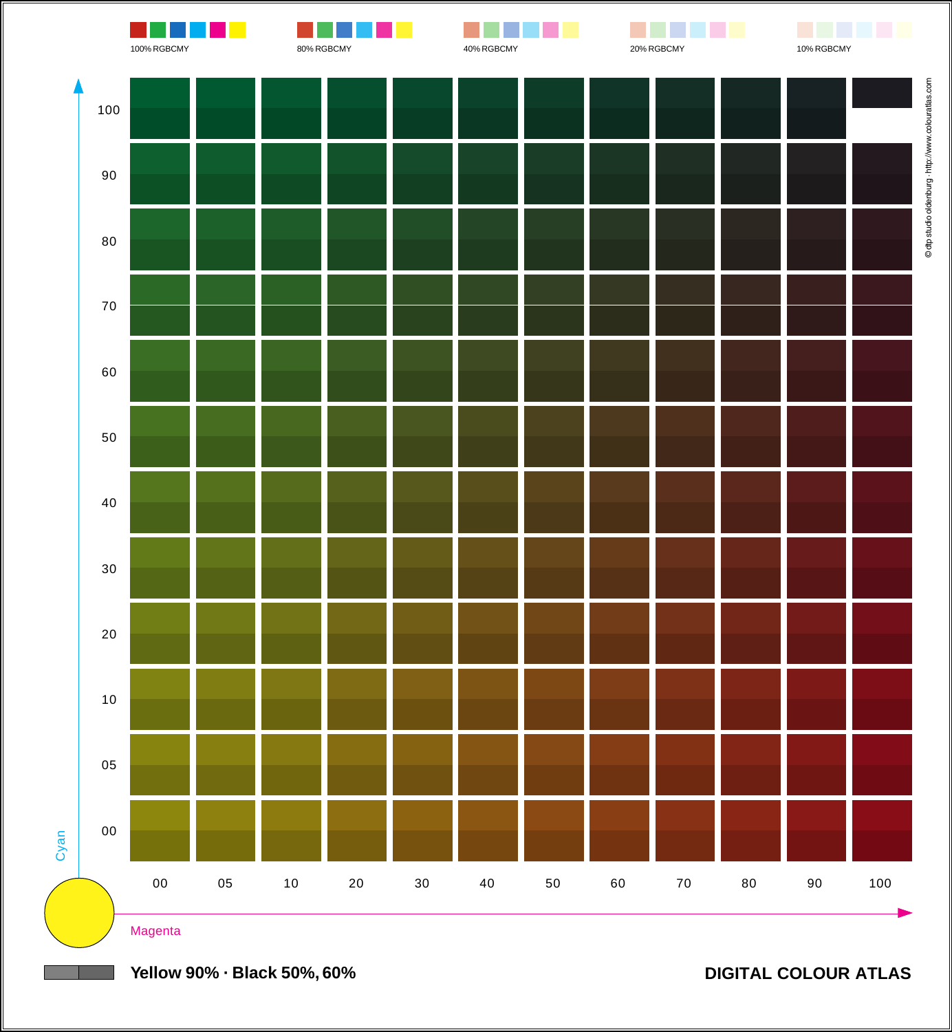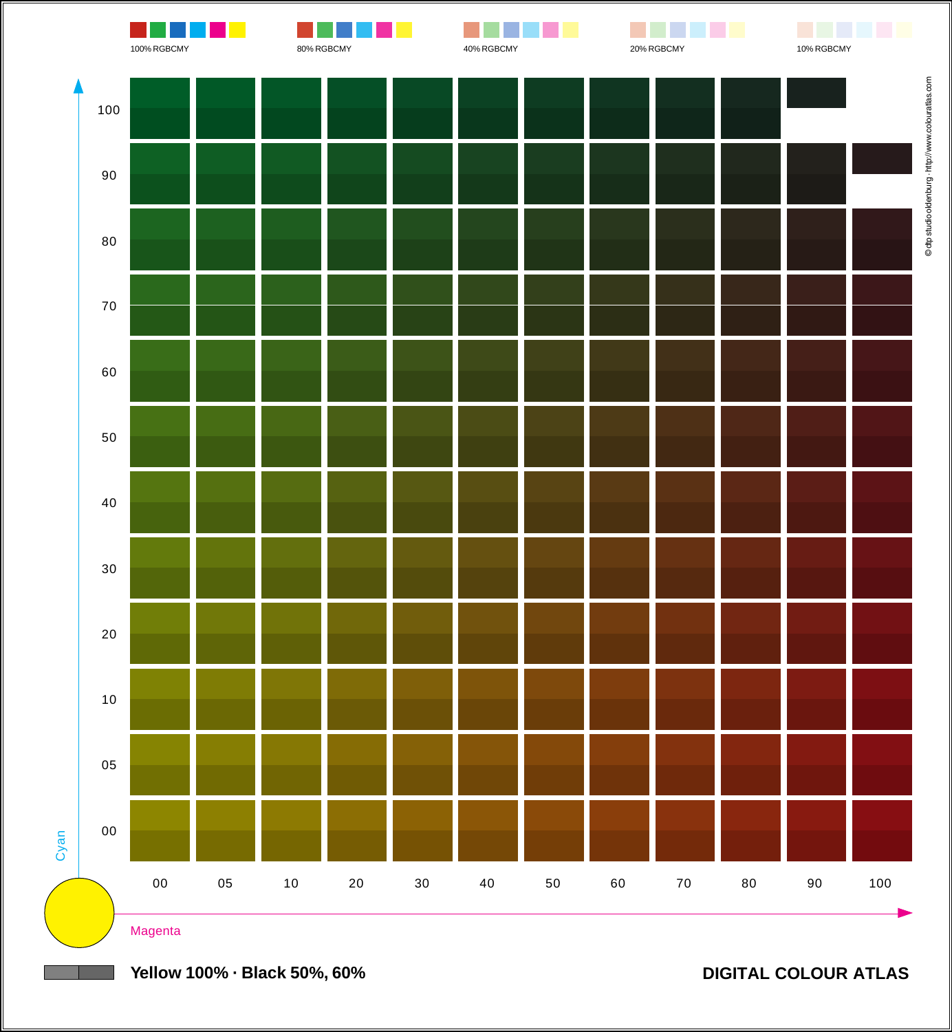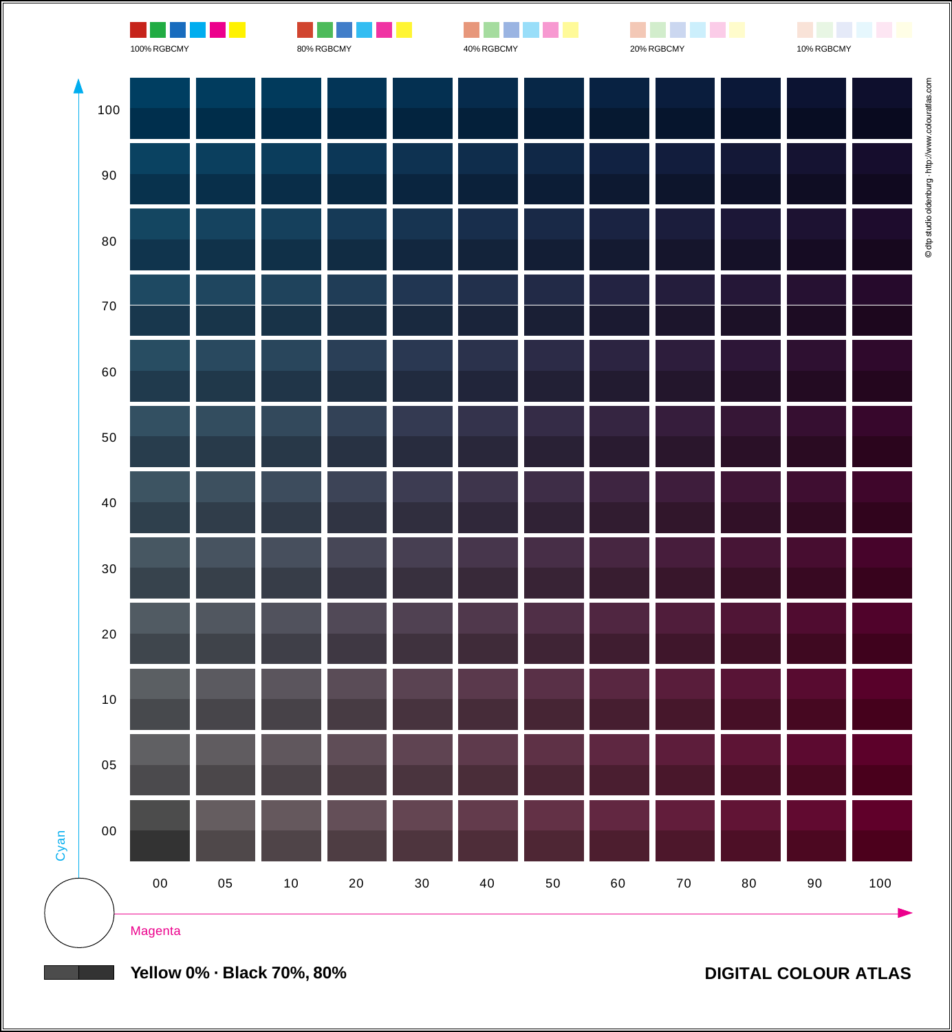

**Yellow 0% · Black 70%, 80%**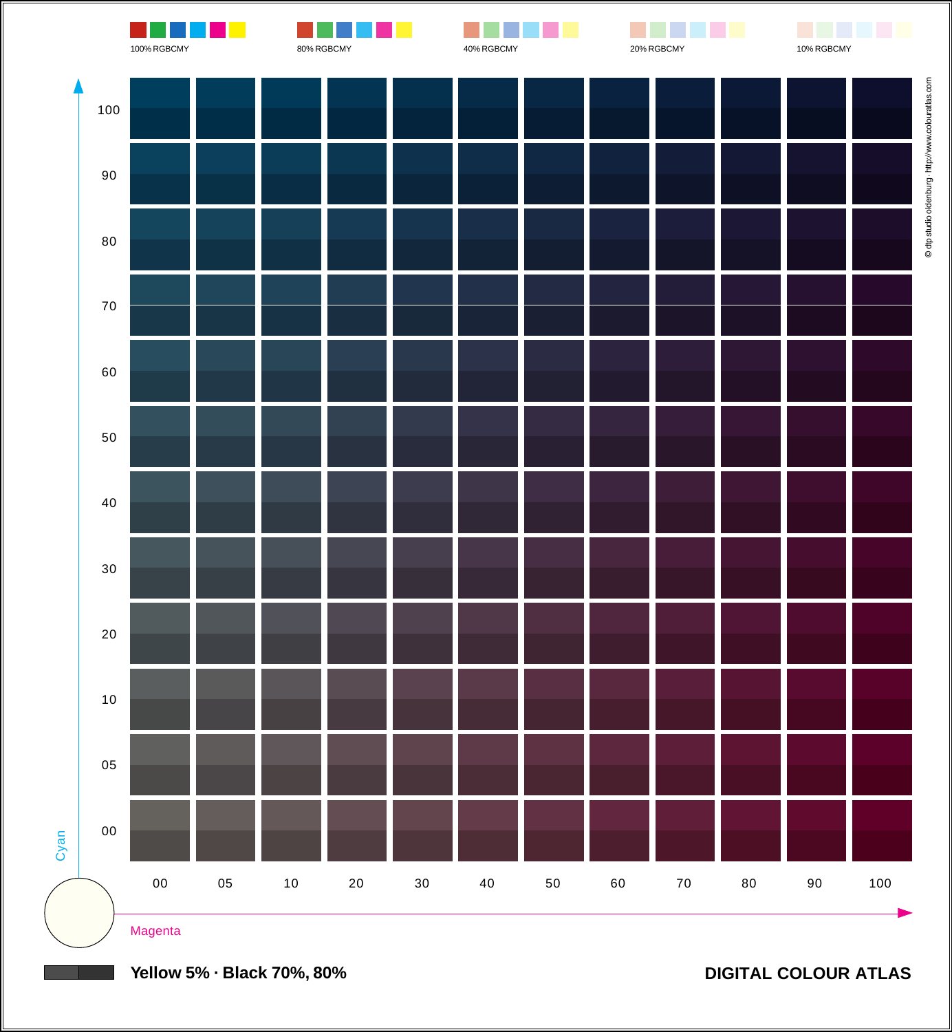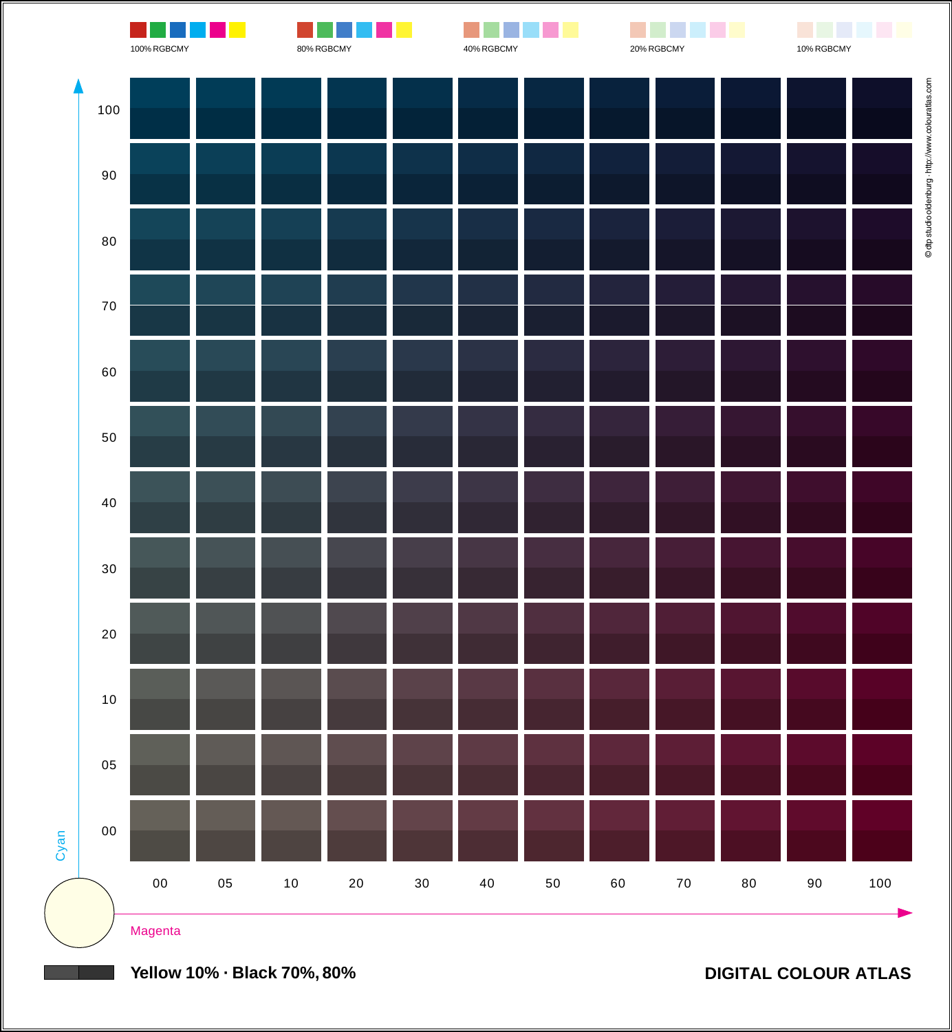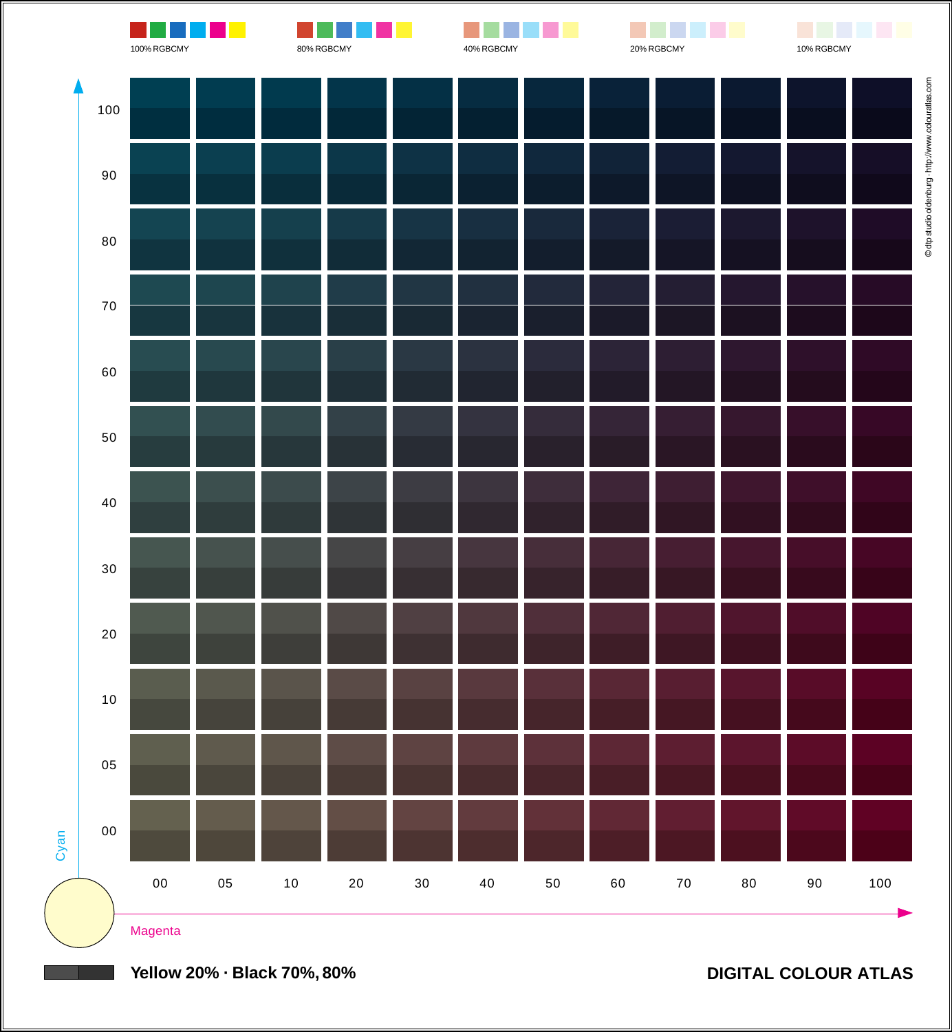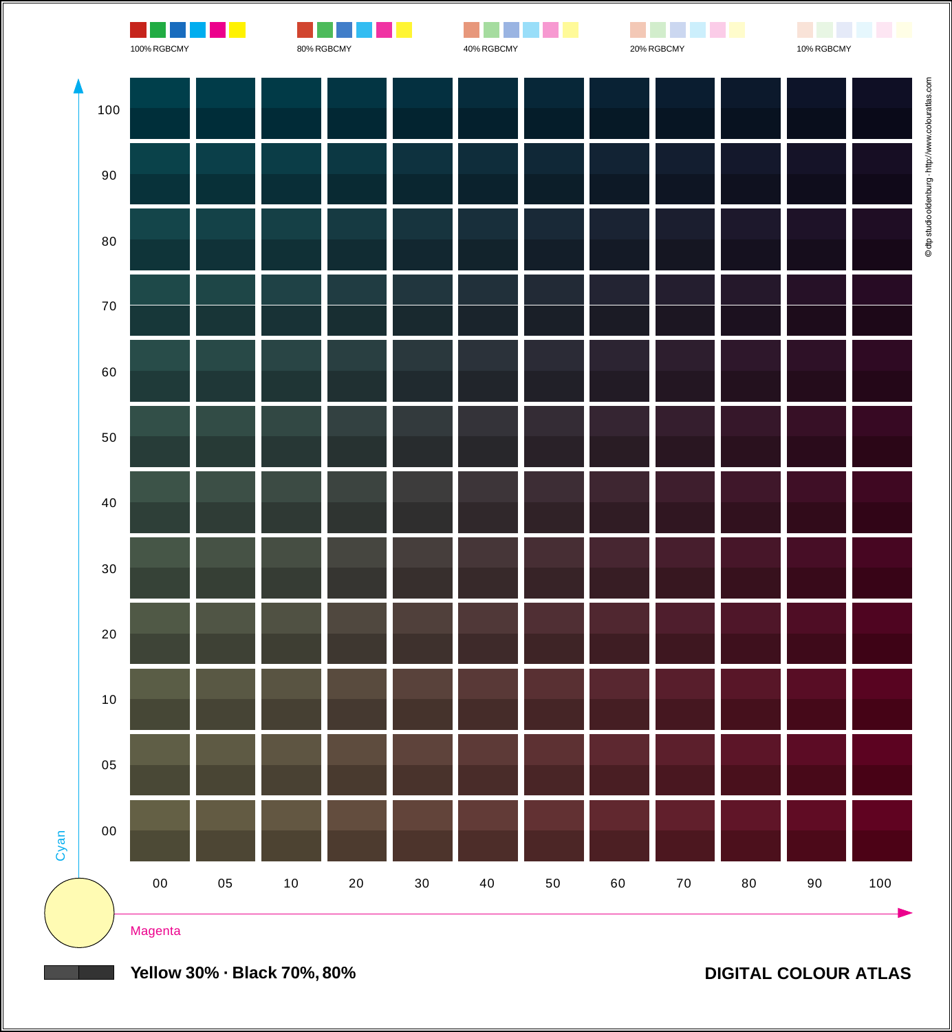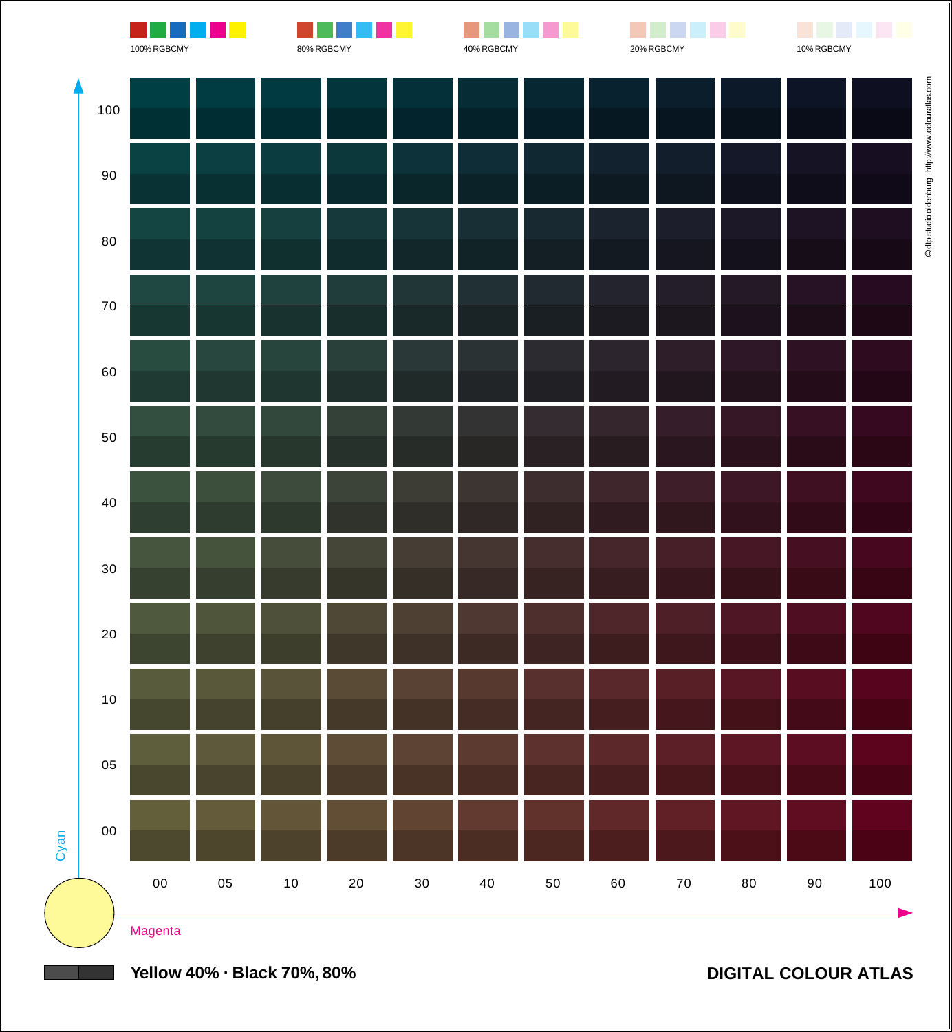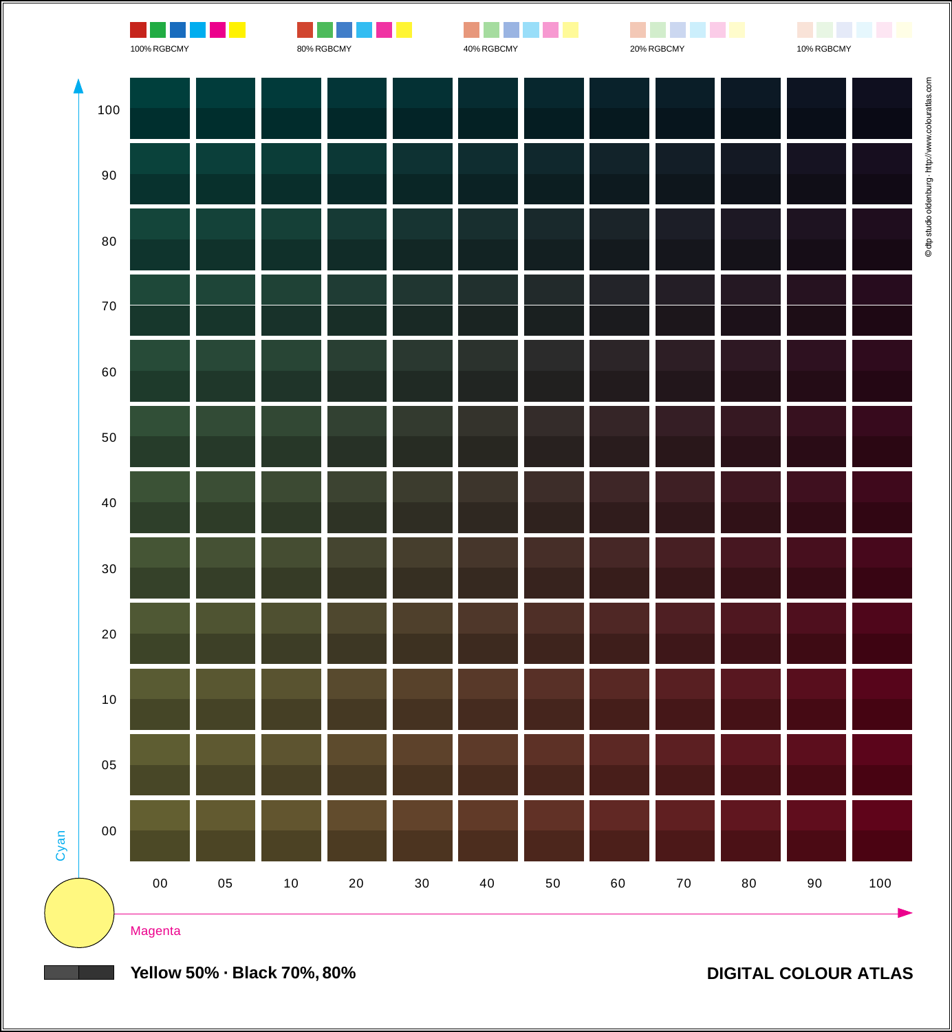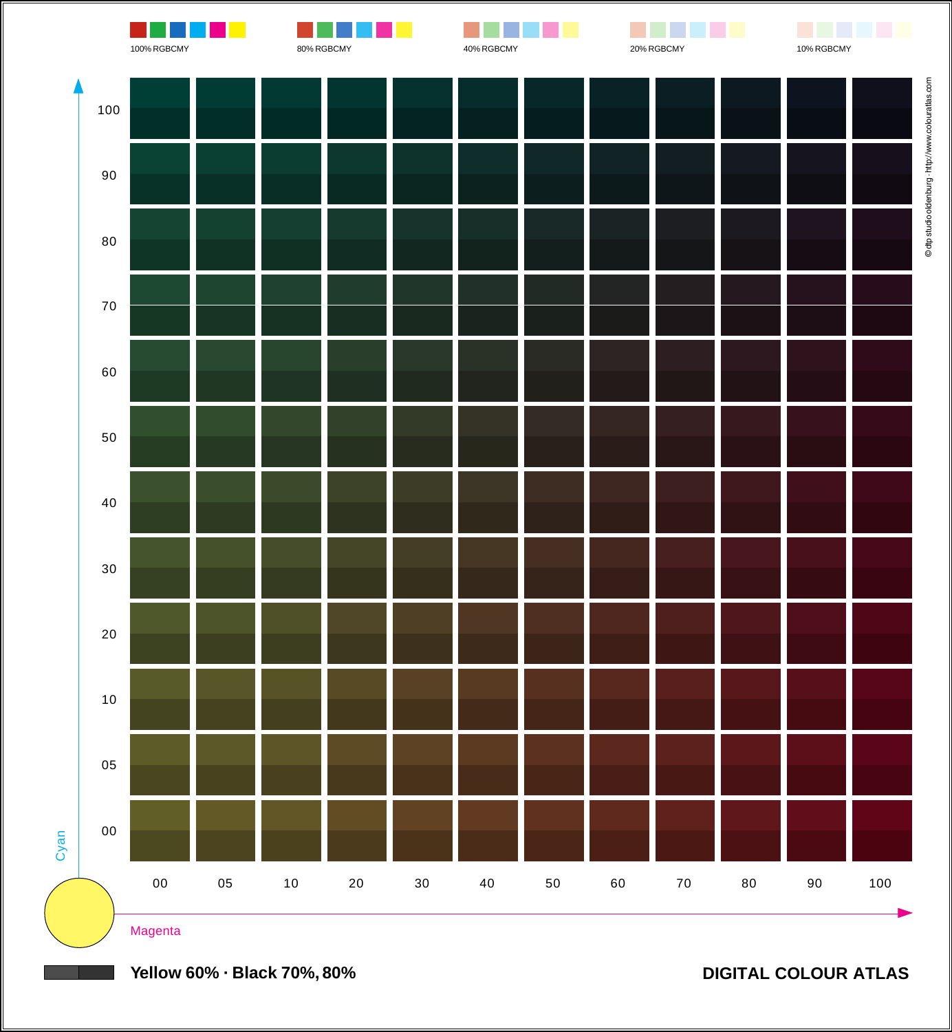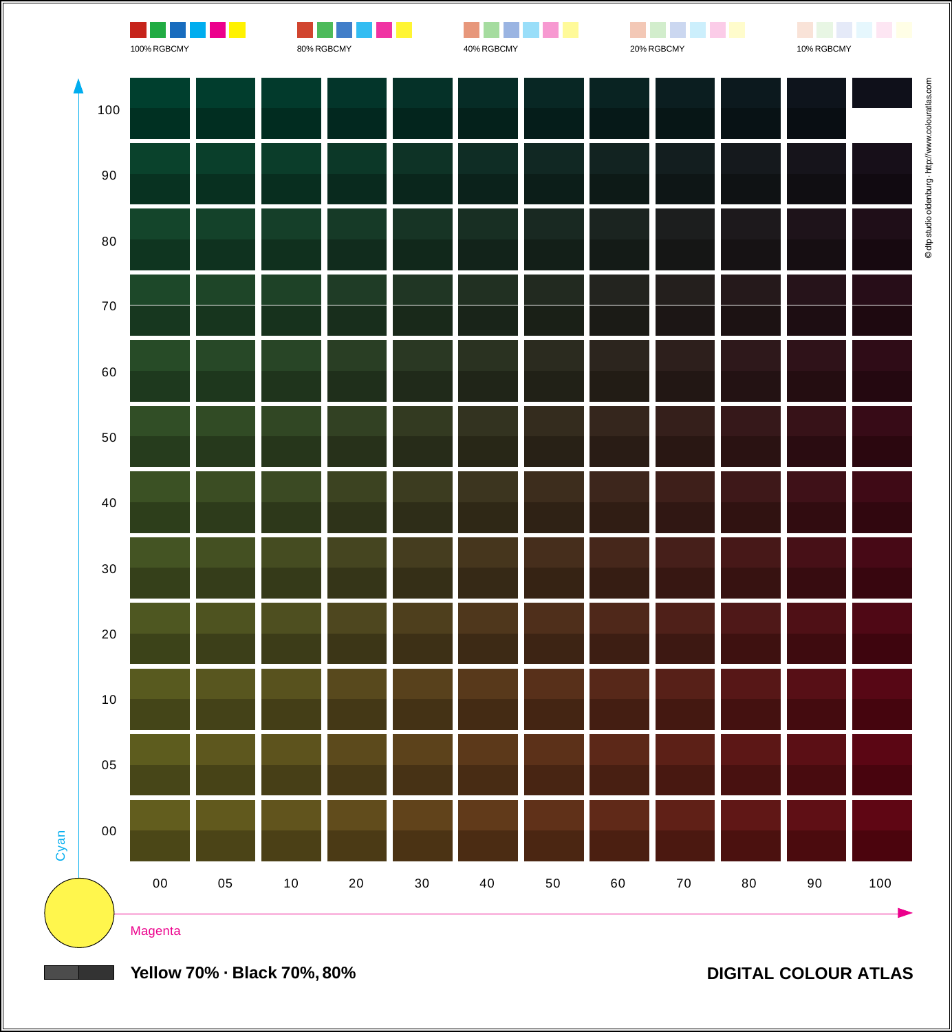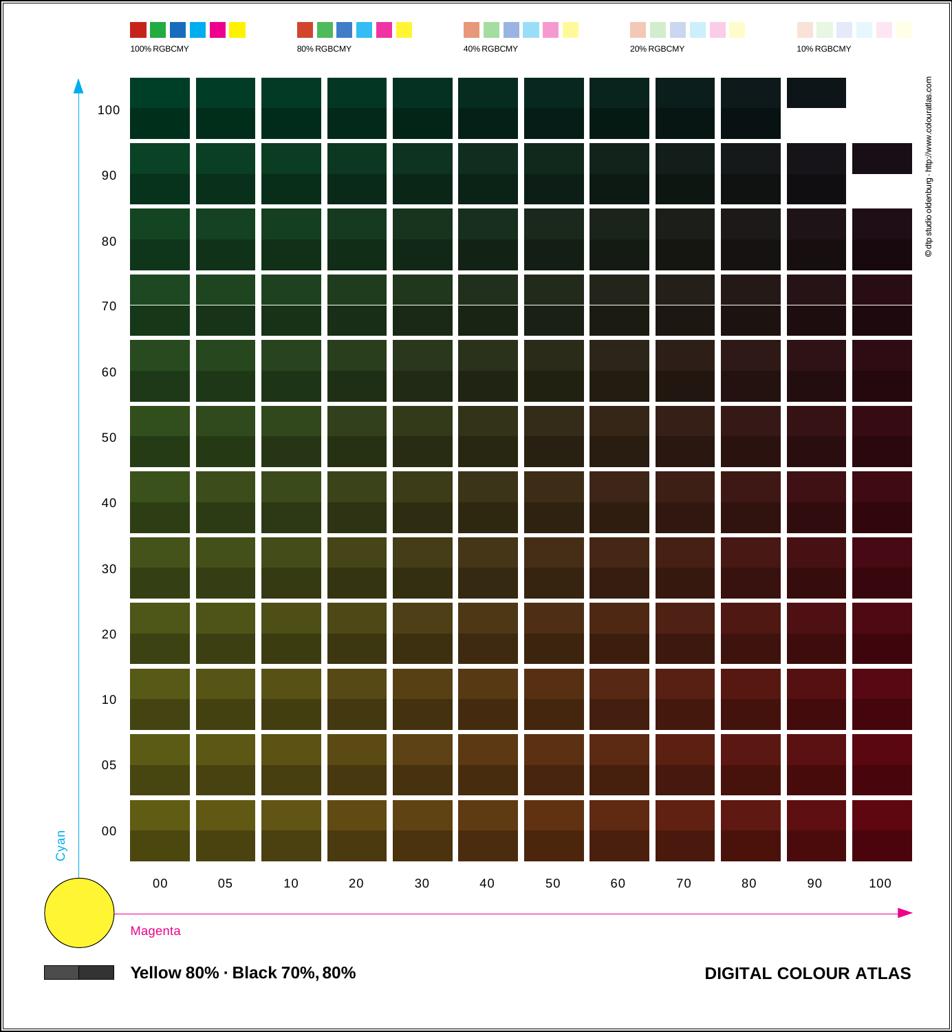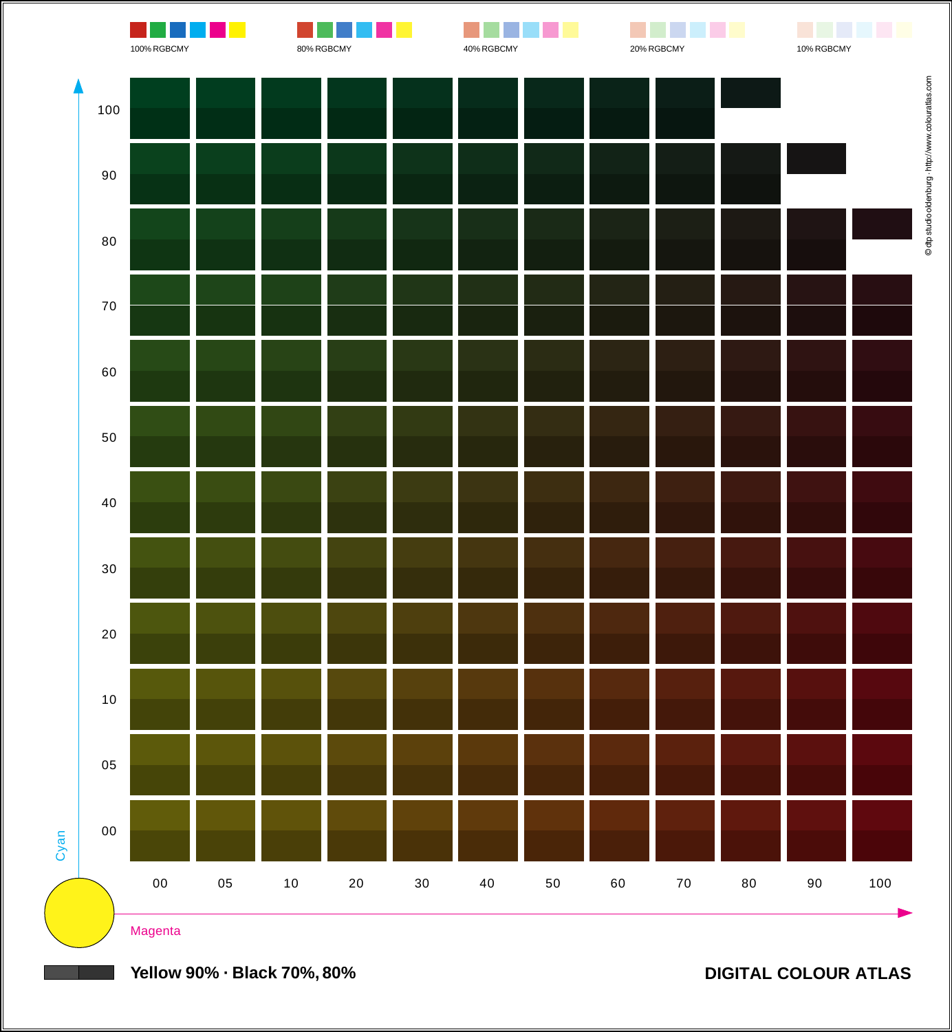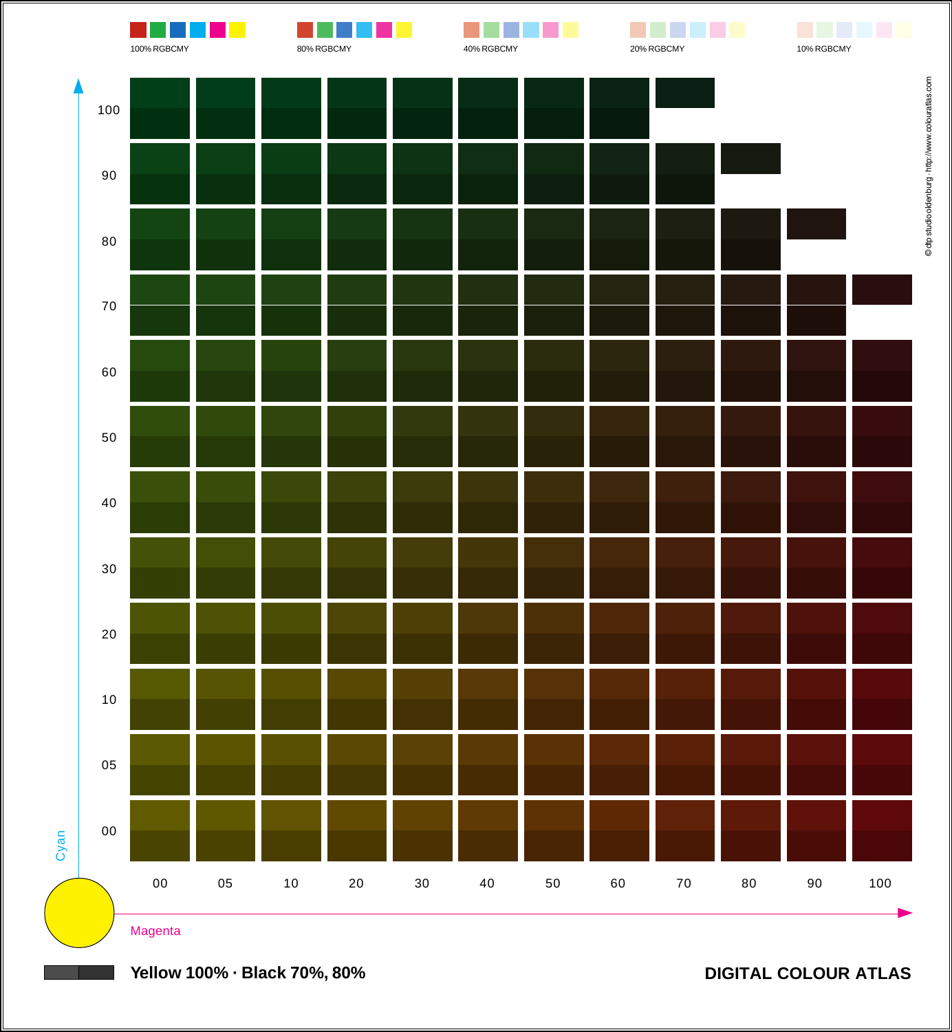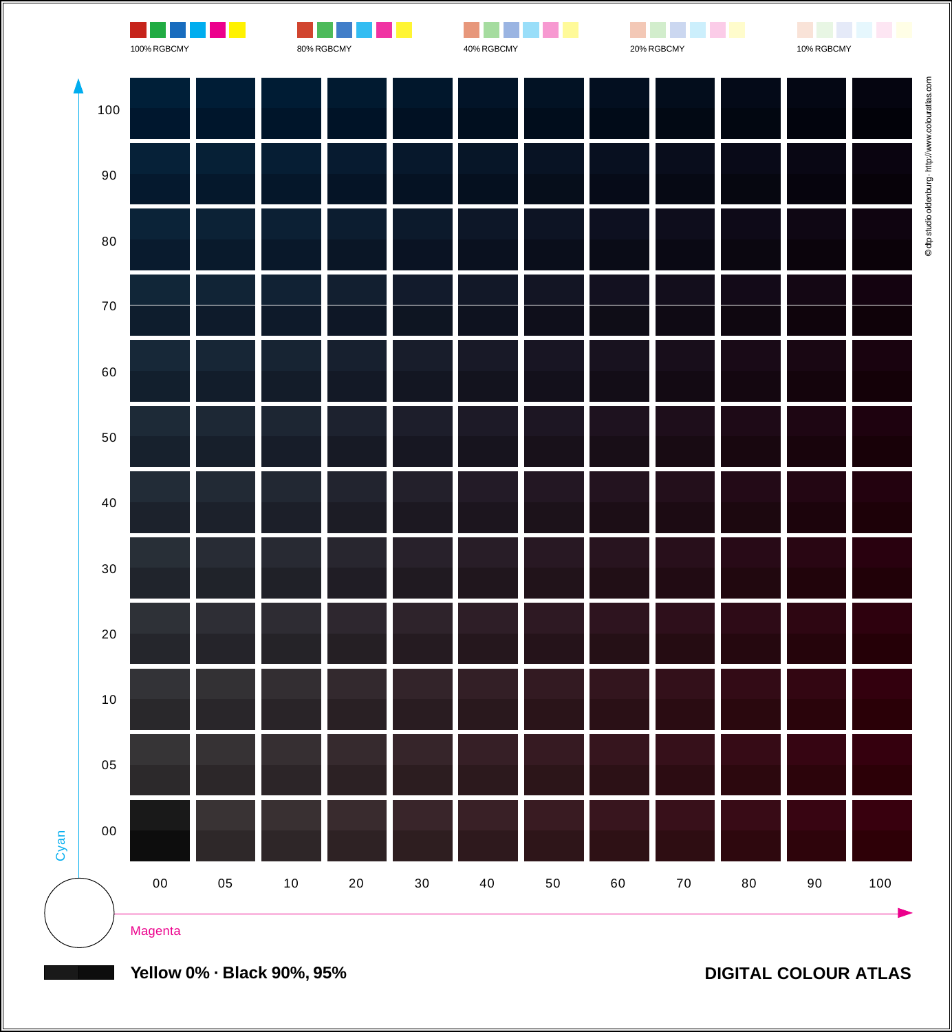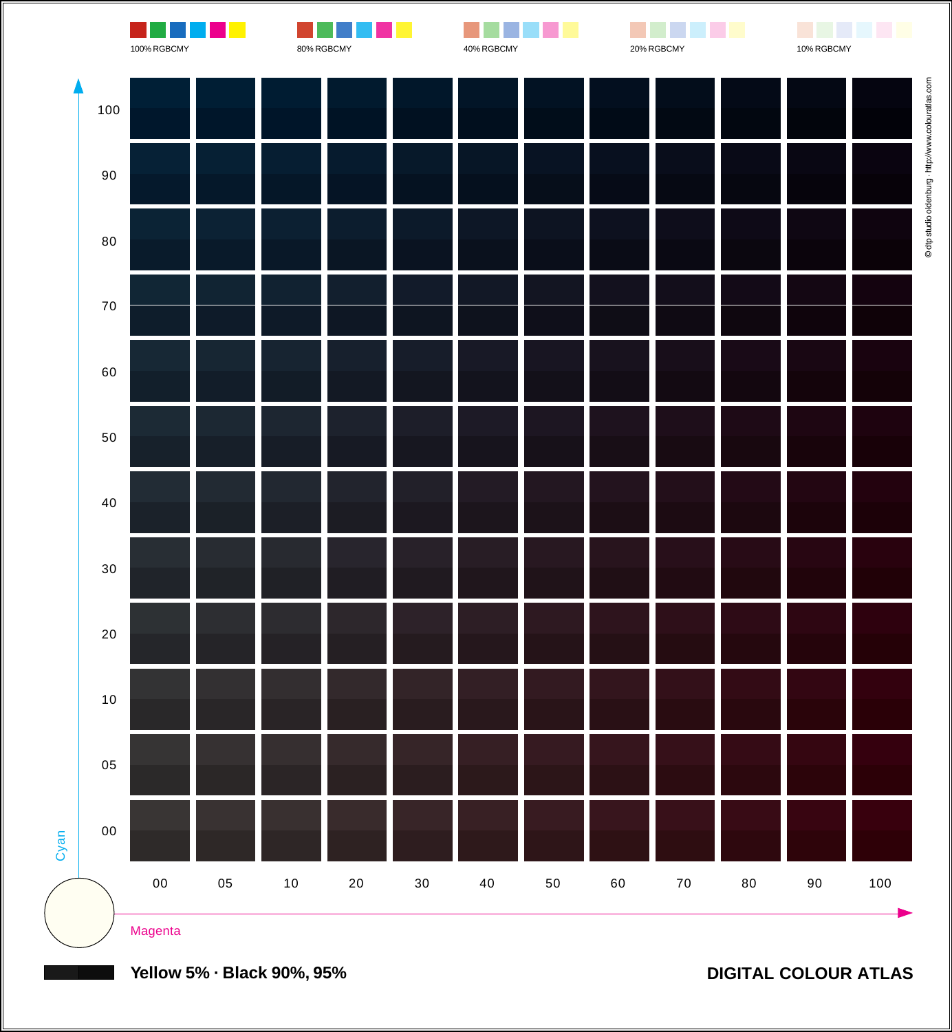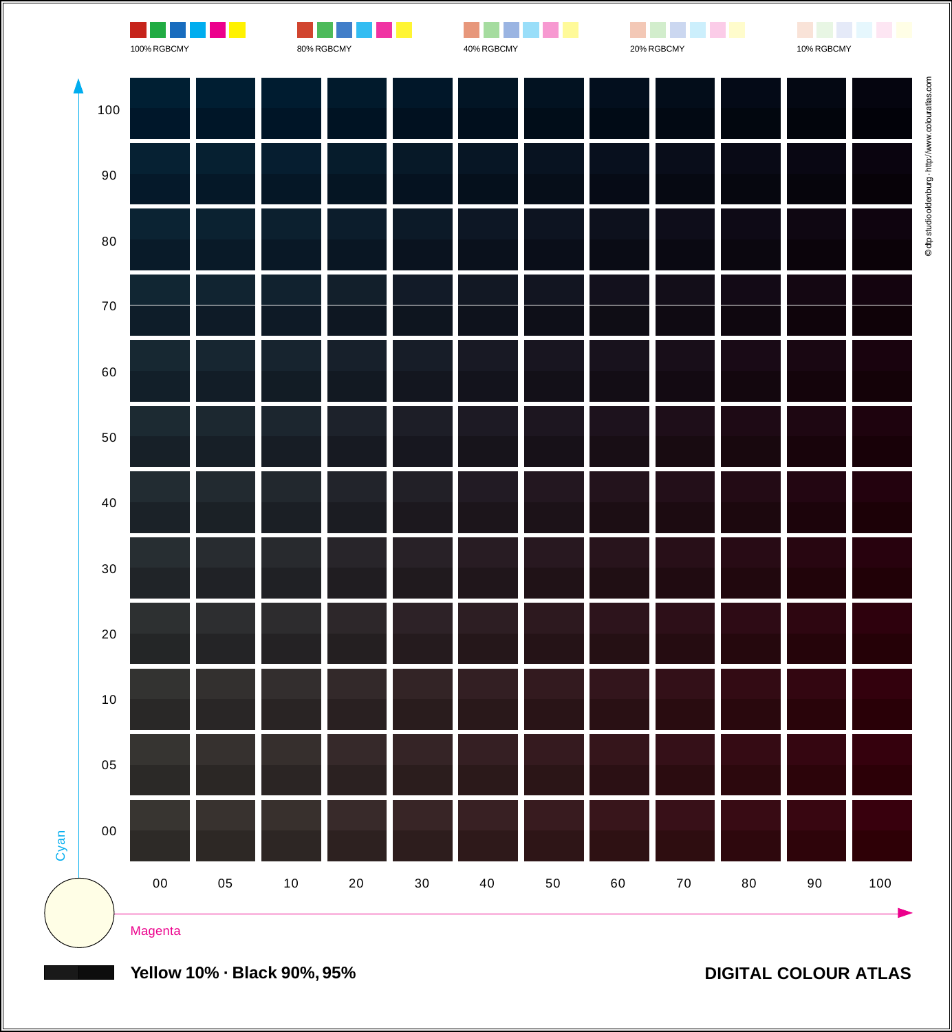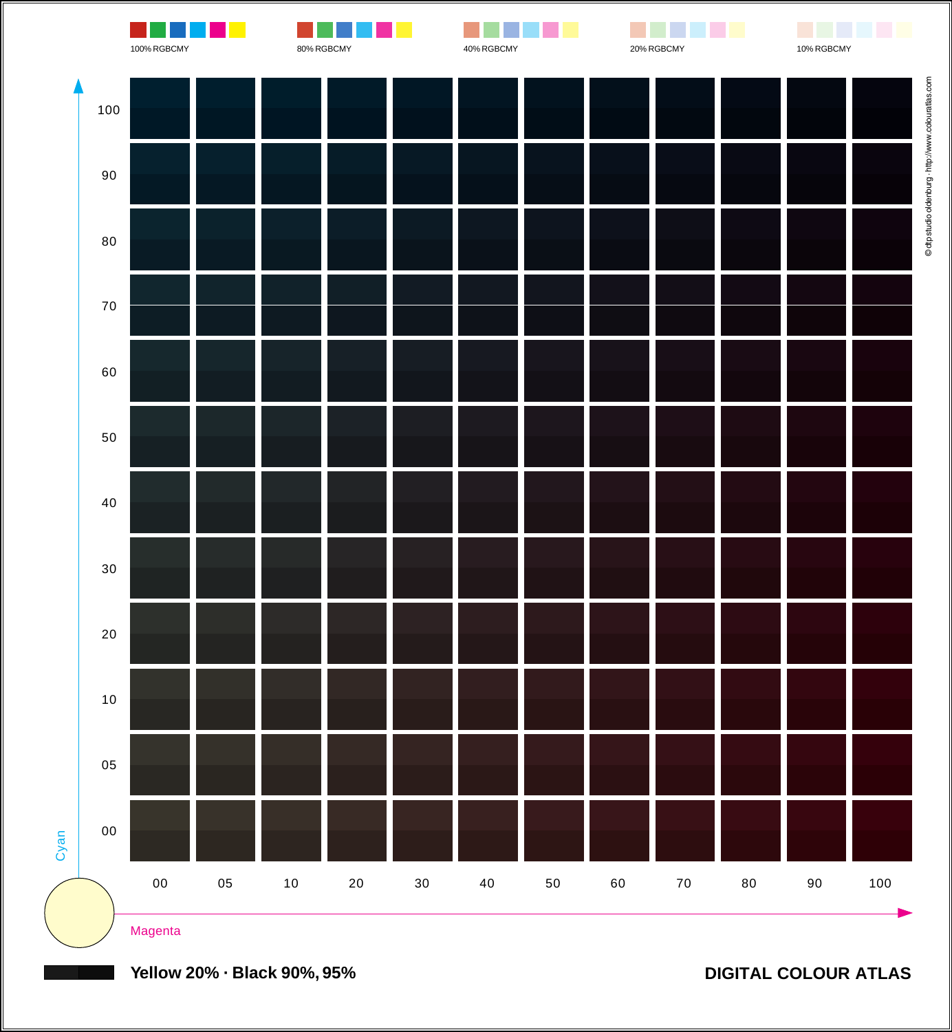

**Yellow 20% · Black 90%, 95%**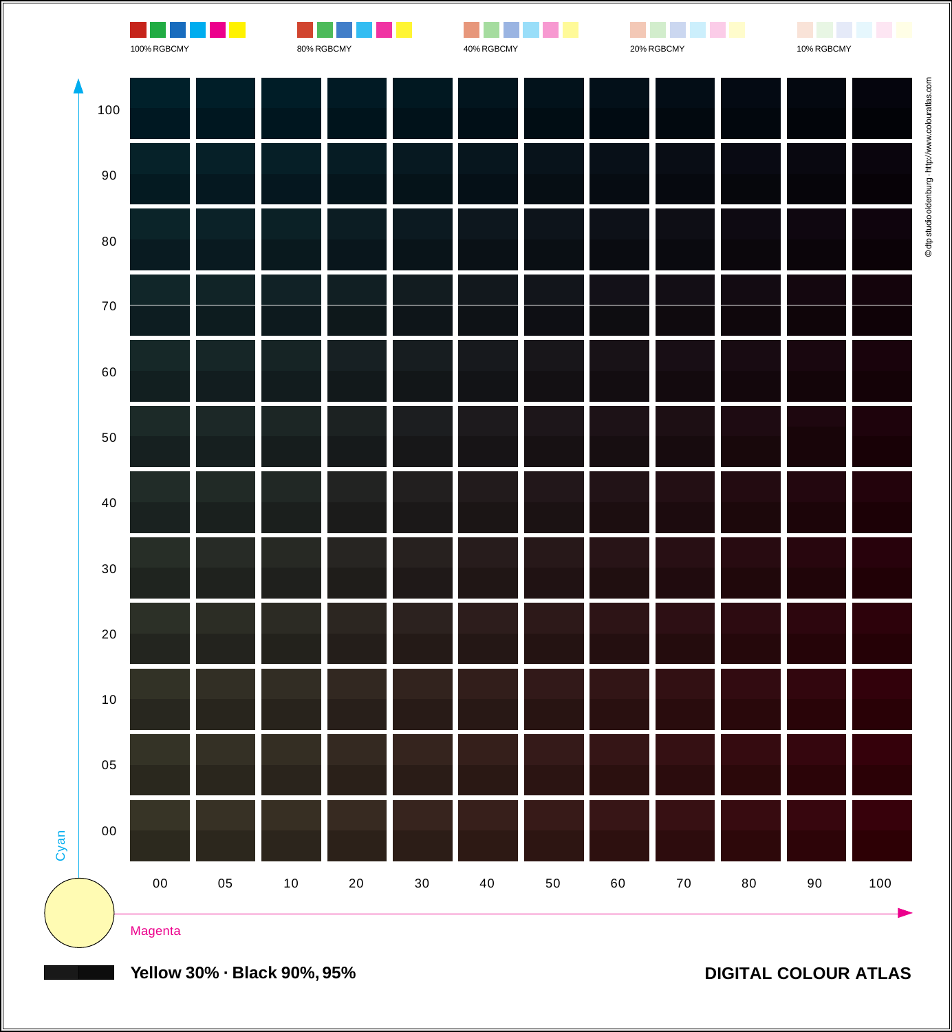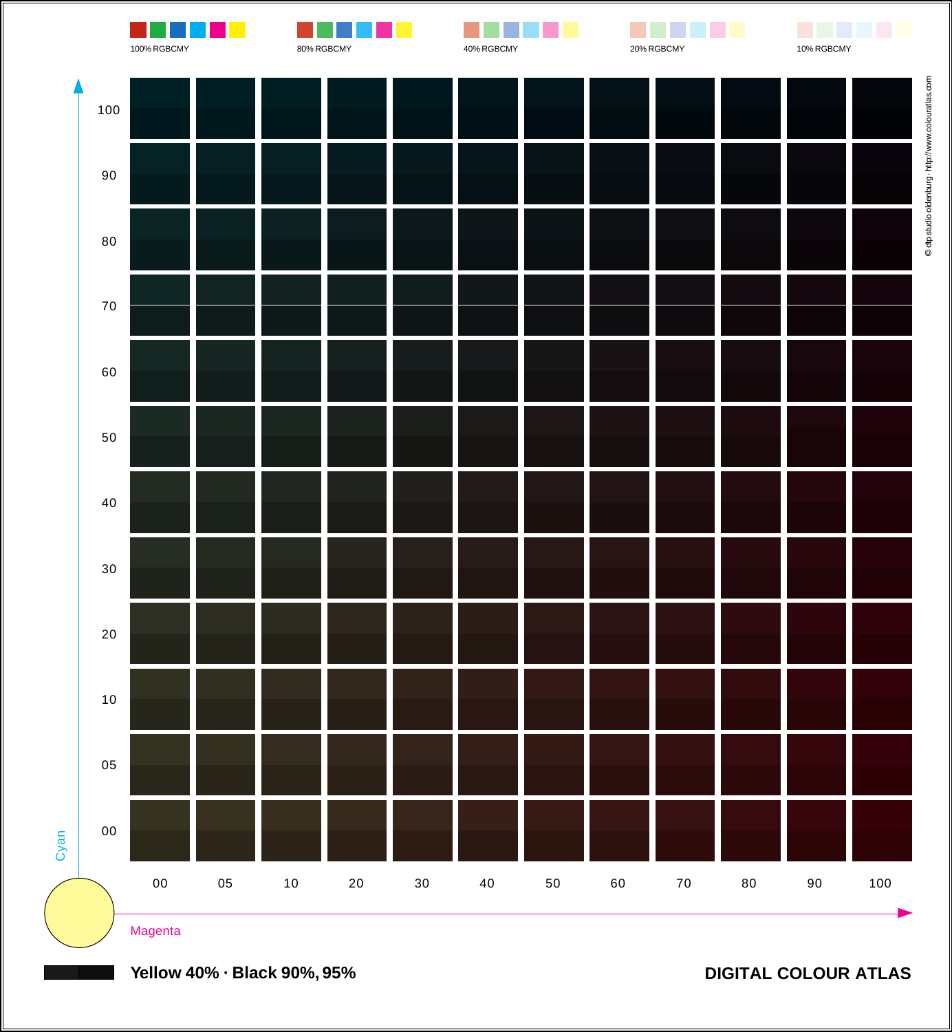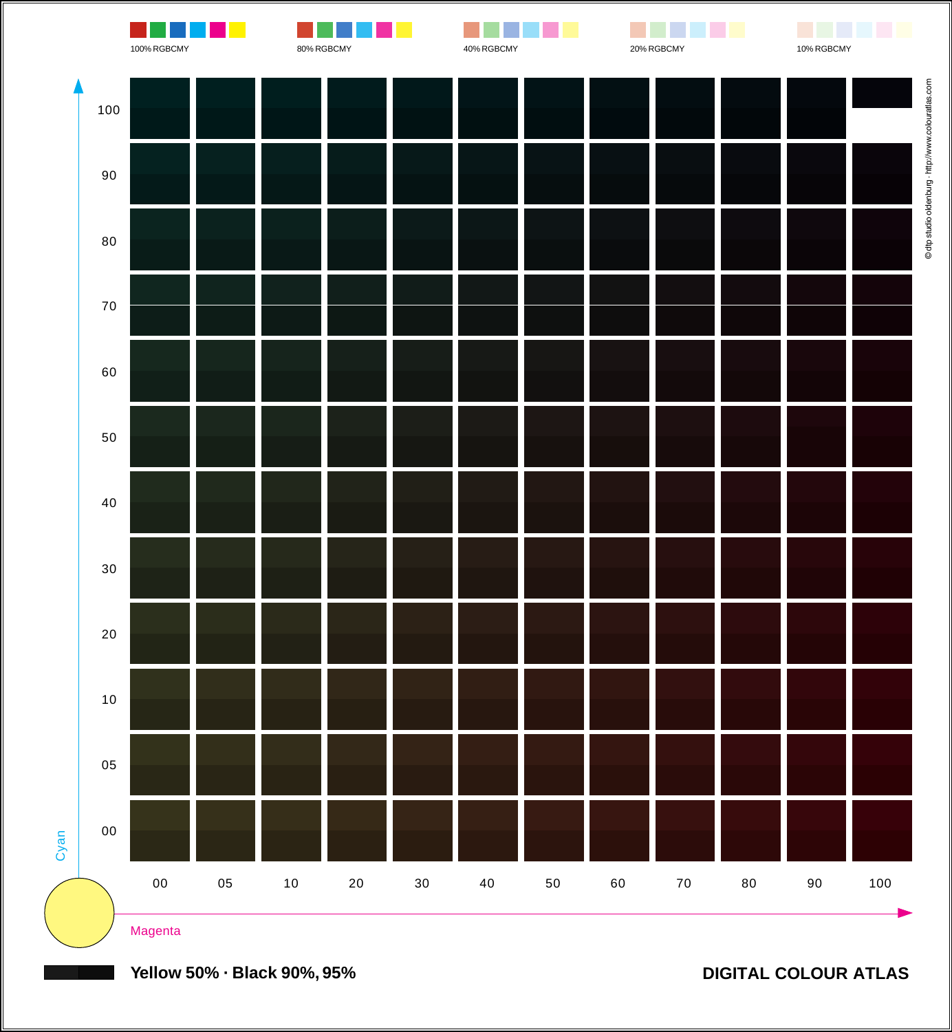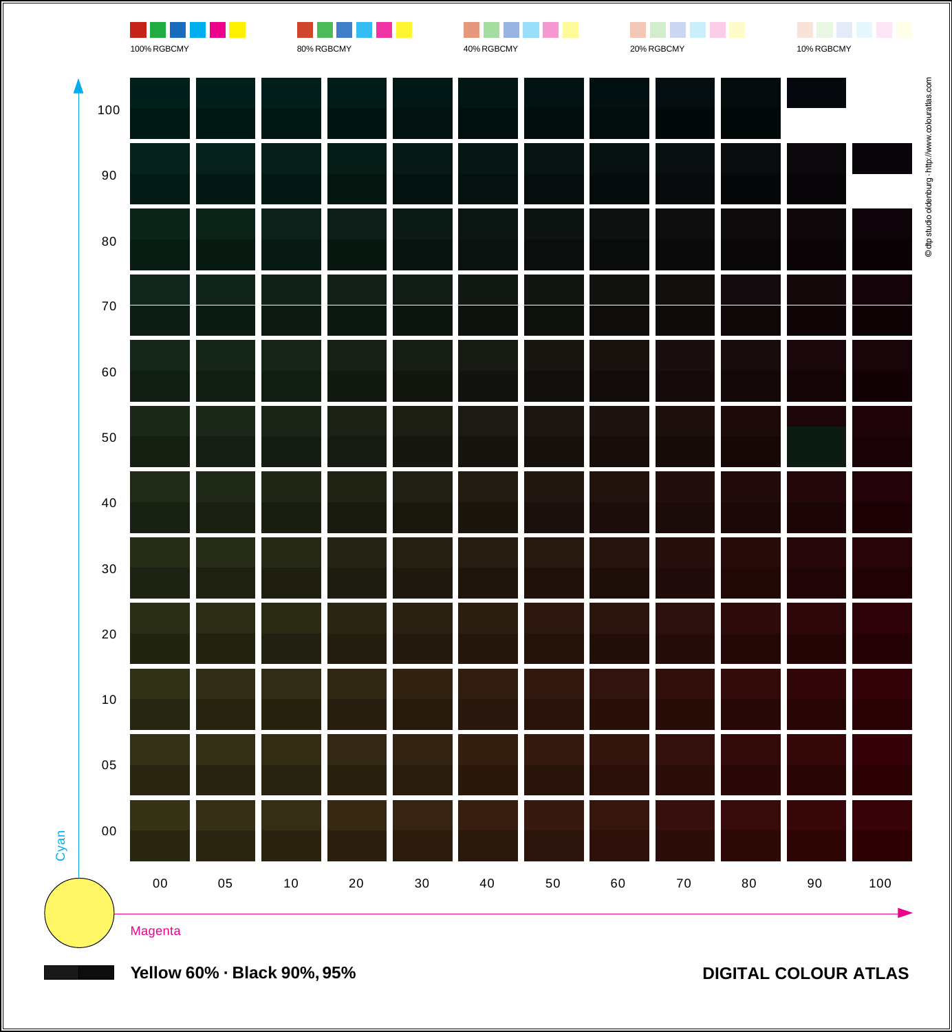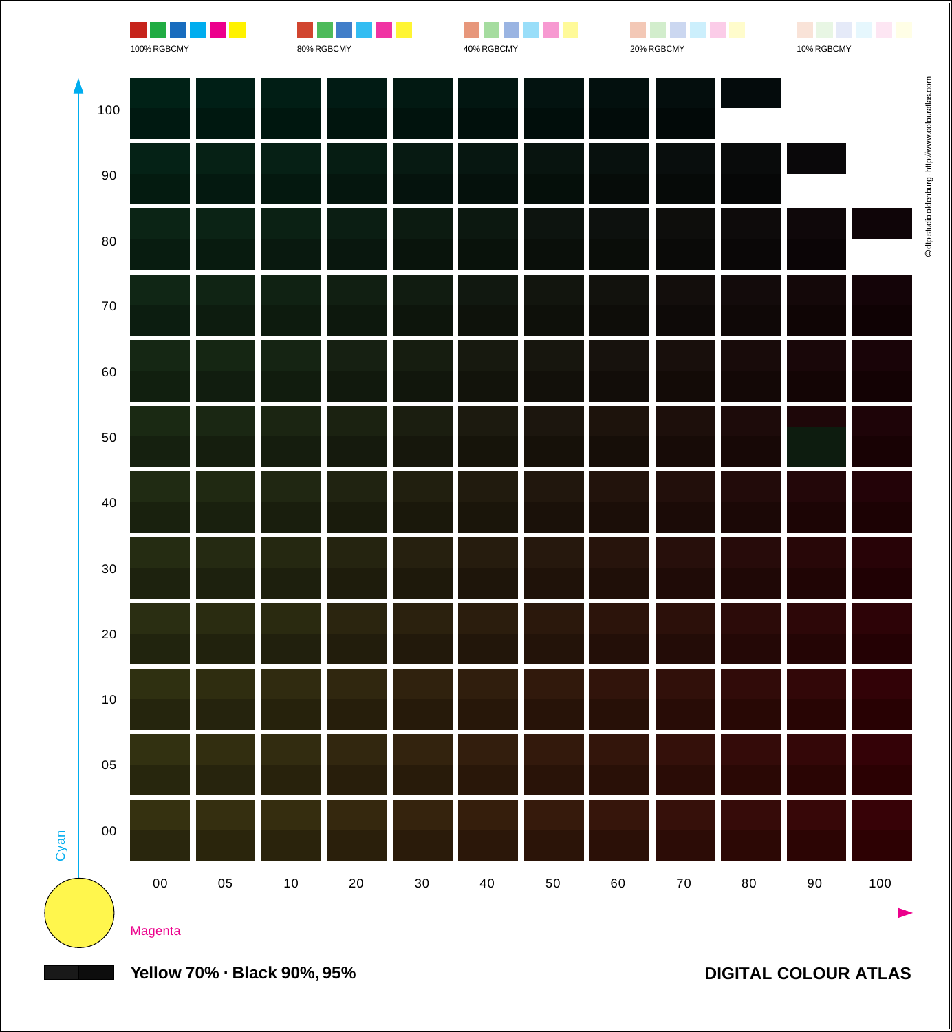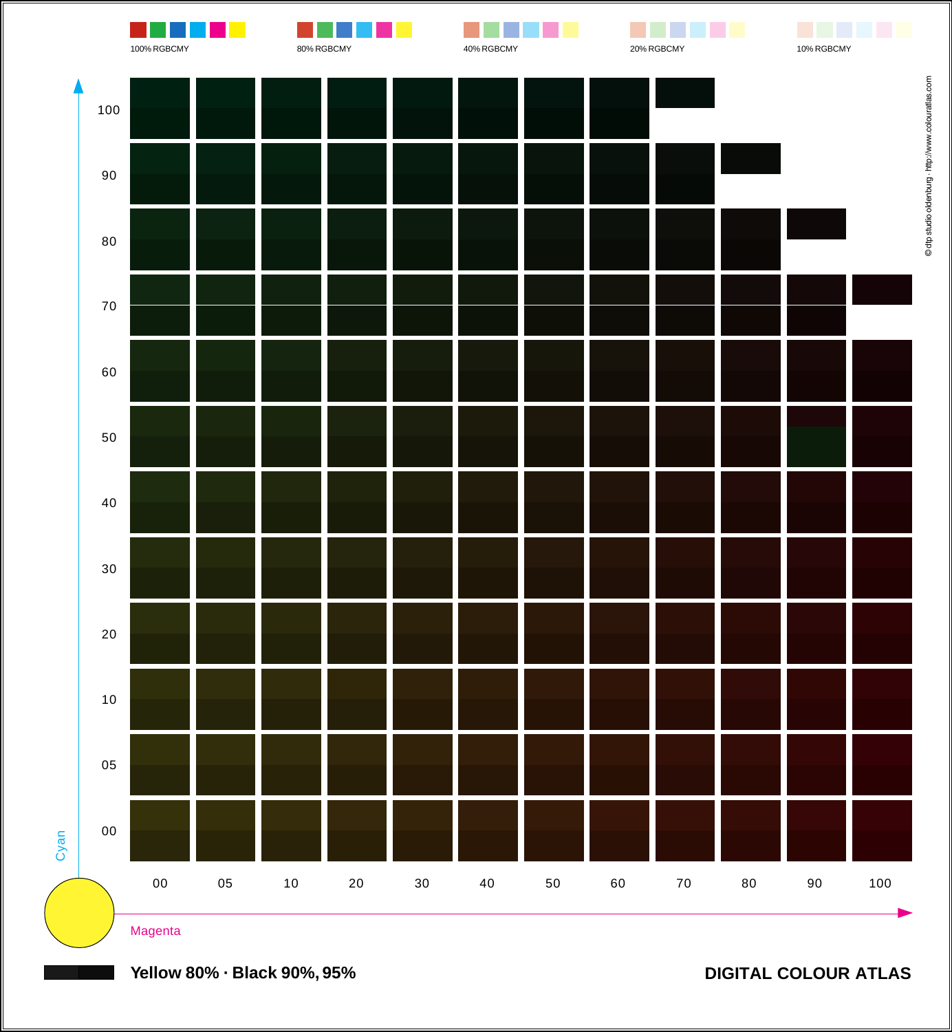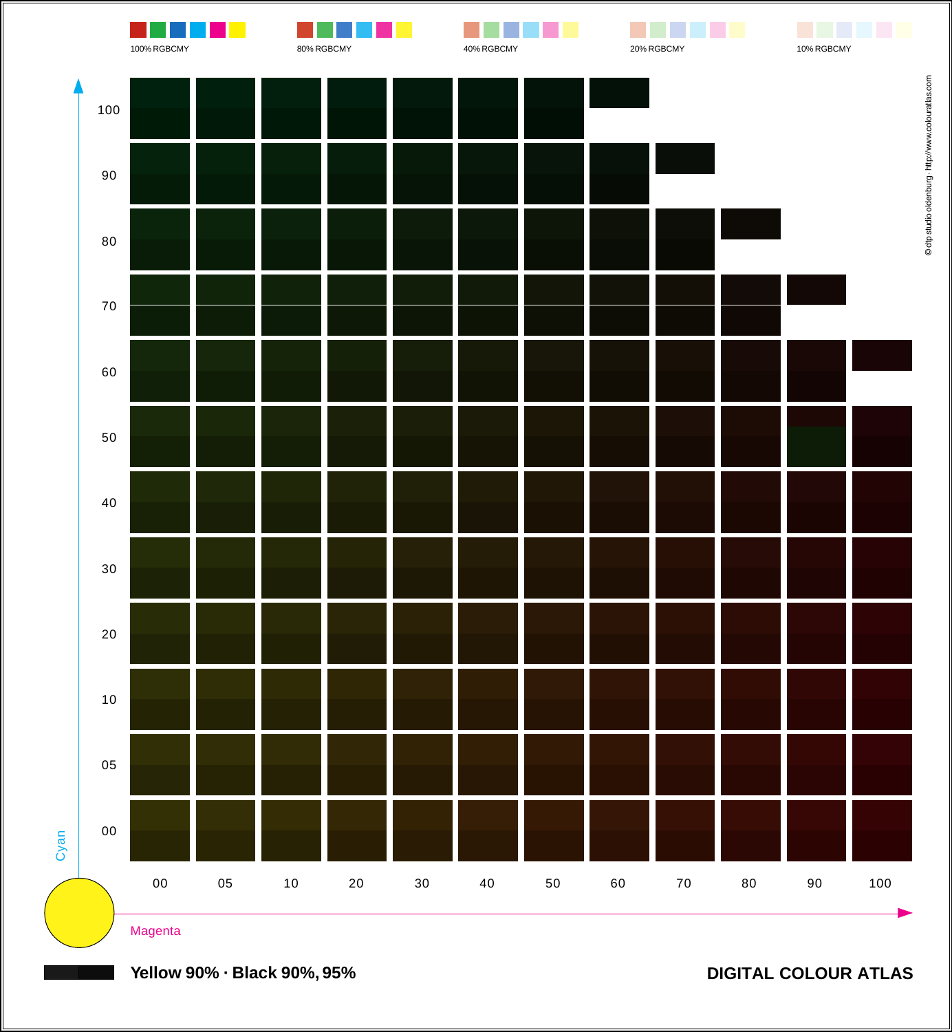